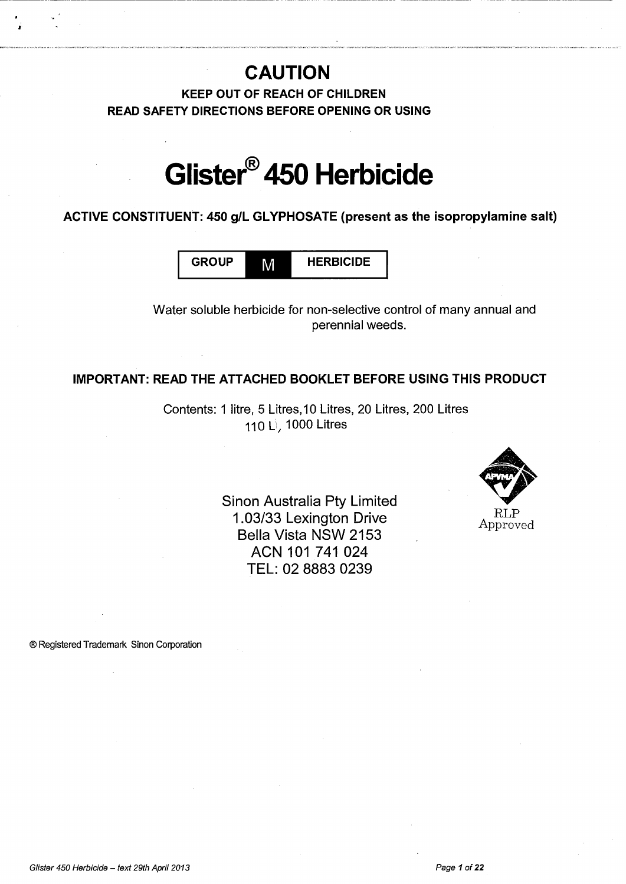# **CAUTION**

------------------------------------------------------- ----------------------- --

**KEEP OUT OF REACH OF CHILDREN READ SAFETY DIRECTIONS BEFORE OPENING OR USING** 

# **Glister® 450 Herbicide**

**ACTIVE CONSTITUENT: 450 g/L GL YPHOSATE (present as the isopropylamine salt)** 

GROUP **M** HERBICIDE

Water soluble herbicide for non-selective control of many annual and perennial weeds.

# **IMPORTANT: READ THE ATTACHED BOOKLET BEFORE USING THIS PRODUCT**

Contents: 1 litre, 5 Litres, 10 Litres, 20 Litres, 200 Litres 110 L<sup>j</sup>, 1000 Litres

> Sinon Australia Pty Limited 1.03/33 Lexington Drive Bella Vista NSW 2153 ACN 101 741 024 **TEL:** 02 8883 0239



® Registered Trademark Sinon Corporation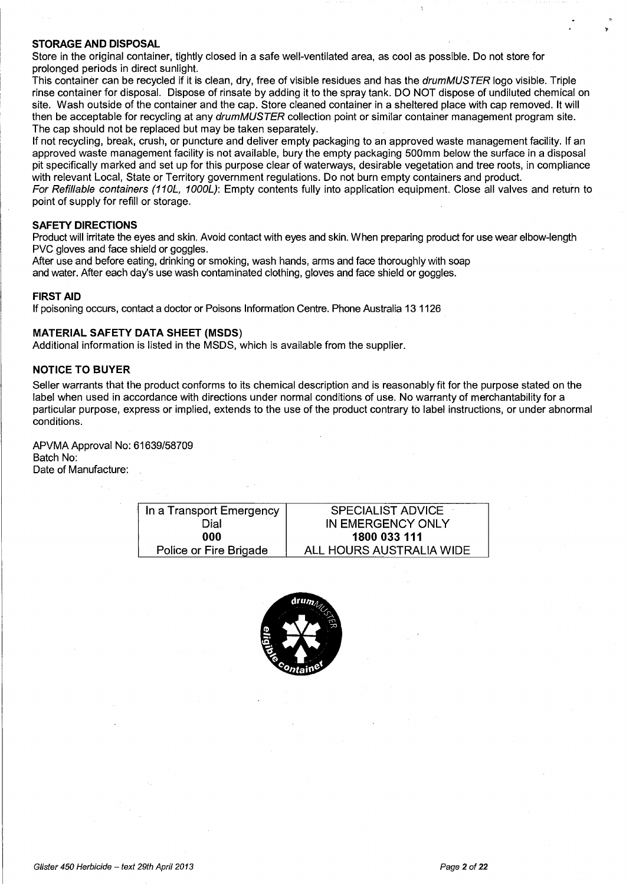#### **STORAGE AND DISPOSAL**

Store in the original container, tightly closed in a safe well-ventilated area, as cool as possible. Do not store for prolonged periods in direct sunlight.

This container can be recycled if it is clean, dry, free of visible residues and has the drum MUSTER logo visible. Triple rinse container for disposal. Dispose of rinsate by adding it to the spray tank. DO NOT dispose of undiluted chemical on site. Wash outside of the container and the cap. Store cleaned container in a sheltered place with cap removed. It will then be acceptable for recycling at any drumMUSTER collection point or similar container management program site. The cap should not be replaced but may be taken separately.

If not recycling, break, crush, or puncture and deliver empty packaging to an approved waste management facility. If an approved waste management facility is not available, bury the empty packaging 500mm below the surface in a disposal pit specifically marked and set up for this purpose clear of waterways, desirable vegetation and tree roots, in compliance with relevant Local, State or Territory government regulations. Do not burn empty containers and product. For Refillable containers (110L, 1000L): Empty contents fully into application equipment. Close all valves and return to point of supply for refill or storage.

#### **SAFETY DIRECTIONS**

Product will irritate the eyes and skin. Avoid contact with eyes and skin. When preparing product for use wear elbow-length PVC gloves and face shield or goggles.

After use and before eating, drinking or smoking, wash hands, arms and face thoroughly with soap and water. After each day's use wash contaminated clothing, gloves and face shield or goggles.

#### **FIRST AID**

If poisoning occurs, contact a doctor or Poisons Information Centre. Phone Australia 13 1126

#### **MATERIAL SAFETY DATA SHEET (MSDS)**

Additional information is listed in the MSDS, which is available from the supplier.

#### **NOTICE TO BUYER**

Seller warrants that the product conforms to its chemical description and is reasonably fit for the purpose stated on the label when used in accordance with directions under normal conditions of use. No warranty of merchantability for a particular purpose, express or implied, extends to the use of the product contrary tb label instructions, or under abnormal conditions.

APVMA Approval No: 61639/58709 Batch No: Date of Manufacture:

| In a Transport Emergency | <b>SPECIALIST ADVICE</b> |
|--------------------------|--------------------------|
| Dial                     | IN EMERGENCY ONLY        |
| 000                      | 1800 033 111             |
| Police or Fire Brigade   | ALL HOURS AUSTRALIA WIDE |

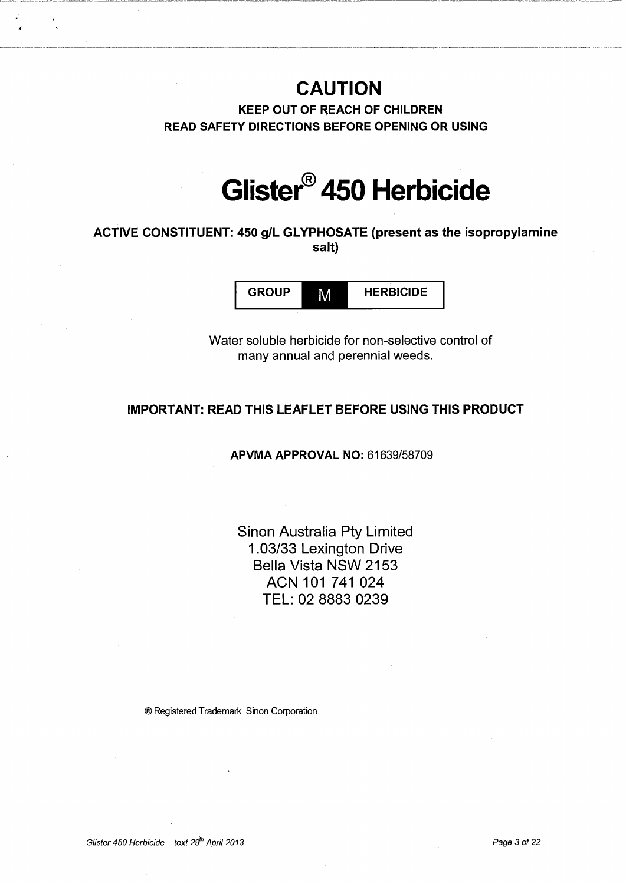# **CAUTION**

KEEP OUT OF REACH OF CHILDREN READ SAFETY DIRECTIONS BEFORE OPENING OR USING

# **Glister® 450 Herbicide**

# ACTIVE CONSTITUENT: 450 g/L GLYPHOSATE (present as the isopropylamine salt)

GROUP M HERBICIDE

Water soluble herbicide for non-selective control of many annual and perennial weeds.

# IMPORT ANT: READ THIS LEAFLET BEFORE USING THIS PRODUCT

# APVMA APPROVAL NO: 61639/58709

Sinon Australia Pty Limited 1.03/33 Lexington Drive Bella Vista NSW 2153 ACN 101 741 024 TEL: 02 8883 0239

®Registered Trademark Sinon Corporation

Glister 450 Herbicide – text  $29^{\text{th}}$  April 2013 **Page 3of 22 Page 3of 22**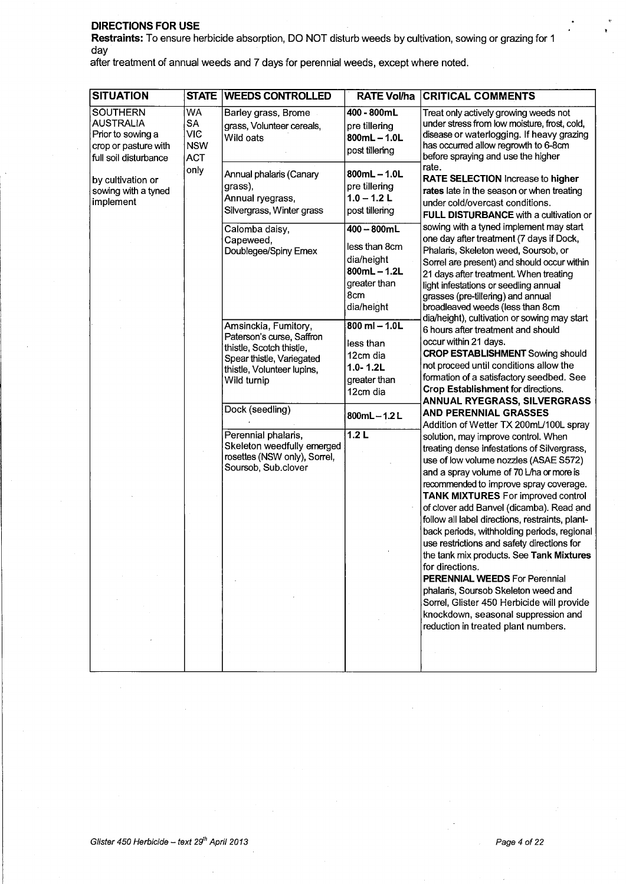### DIRECTIONS FOR USE

Restraints: To ensure herbicide absorption, DO NOT disturb weeds by cultivation, sowing or grazing for 1 day

after treatment of annual weeds and 7 days for perennial weeds, except where noted.

| <b>SITUATION</b>                                                                                          |                                                    | <b>STATE WEEDS CONTROLLED</b>                                                                                                                                              |                                                                                                   | <b>RATE Vol/ha CRITICAL COMMENTS</b>                                                                                                                                                                                                                                                                                                                                                                                                                                                                                                                                                                                                                                                                                                 |
|-----------------------------------------------------------------------------------------------------------|----------------------------------------------------|----------------------------------------------------------------------------------------------------------------------------------------------------------------------------|---------------------------------------------------------------------------------------------------|--------------------------------------------------------------------------------------------------------------------------------------------------------------------------------------------------------------------------------------------------------------------------------------------------------------------------------------------------------------------------------------------------------------------------------------------------------------------------------------------------------------------------------------------------------------------------------------------------------------------------------------------------------------------------------------------------------------------------------------|
| <b>SOUTHERN</b><br><b>AUSTRALIA</b><br>Prior to sowing a<br>crop or pasture with<br>full soil disturbance | WA<br><b>SA</b><br>VIC<br><b>NSW</b><br><b>ACT</b> | Barley grass, Brome<br>grass, Volunteer cereals,<br>Wild oats                                                                                                              | 400 - 800mL<br>pre tillering<br>$800mL - 1.0L$<br>post tillering                                  | Treat only actively growing weeds not<br>under stress from low moisture, frost, cold,<br>disease or waterlogging. If heavy grazing<br>has occurred allow regrowth to 6-8cm<br>before spraying and use the higher                                                                                                                                                                                                                                                                                                                                                                                                                                                                                                                     |
| by cultivation or<br>sowing with a tyned<br>implement                                                     | only                                               | Annual phalaris (Canary<br>grass),<br>Annual ryegrass,<br>Silvergrass, Winter grass                                                                                        | $800mL - 1.0L$<br>pre tillering<br>$1.0 - 1.2$ L<br>post tillering                                | rate.<br>RATE SELECTION Increase to higher<br>rates late in the season or when treating<br>under cold/overcast conditions.<br>FULL DISTURBANCE with a cultivation or                                                                                                                                                                                                                                                                                                                                                                                                                                                                                                                                                                 |
|                                                                                                           |                                                    | Calomba daisy,<br>Capeweed,<br>Doublegee/Spiny Emex                                                                                                                        | 400 - 800mL<br>less than 8cm<br>dia/height<br>$800mL - 1.2L$<br>greater than<br>8cm<br>dia/height | sowing with a tyned implement may start<br>one day after treatment (7 days if Dock,<br>Phalaris, Skeleton weed, Soursob, or<br>Sorrel are present) and should occur within<br>21 days after treatment. When treating<br>light infestations or seedling annual<br>grasses (pre-tillering) and annual<br>broadleaved weeds (less than 8cm<br>dia/height), cultivation or sowing may start                                                                                                                                                                                                                                                                                                                                              |
|                                                                                                           |                                                    | Amsinckia, Fumitory,<br>Paterson's curse, Saffron<br>thistle, Scotch thistle,<br>Spear thistle, Variegated<br>thistle, Volunteer lupins,<br>Wild turnip<br>Dock (seedling) | $800$ ml $- 1.0$ L<br>less than<br>12cm dia<br>$1.0 - 1.2L$<br>greater than<br>12cm dia           | 6 hours after treatment and should<br>occur within 21 days.<br><b>CROP ESTABLISHMENT</b> Sowing should<br>not proceed until conditions allow the<br>formation of a satisfactory seedbed. See<br>Crop Establishment for directions.<br><b>ANNUAL RYEGRASS, SILVERGRASS</b>                                                                                                                                                                                                                                                                                                                                                                                                                                                            |
|                                                                                                           |                                                    |                                                                                                                                                                            | 800mL $-1.2$ L                                                                                    | AND PERENNIAL GRASSES<br>Addition of Wetter TX 200mL/100L spray                                                                                                                                                                                                                                                                                                                                                                                                                                                                                                                                                                                                                                                                      |
|                                                                                                           |                                                    | Perennial phalaris,<br>Skeleton weedfully emerged<br>rosettes (NSW only), Sorrel,<br>Soursob, Sub.clover                                                                   | 1.2L                                                                                              | solution, may improve control. When<br>treating dense infestations of Silvergrass,<br>use of low volume nozzles (ASAE S572)<br>and a spray volume of 70 L/ha or more is<br>recommended to improve spray coverage.<br><b>TANK MIXTURES</b> For improved control<br>of clover add Banvel (dicamba). Read and<br>follow all label directions, restraints, plant-<br>back periods, withholding periods, regional<br>use restrictions and safety directions for<br>the tank mix products. See Tank Mixtures<br>for directions.<br><b>PERENNIAL WEEDS For Perennial</b><br>phalaris, Soursob Skeleton weed and<br>Sorrel, Glister 450 Herbicide will provide<br>knockdown, seasonal suppression and<br>reduction in treated plant numbers. |
|                                                                                                           |                                                    |                                                                                                                                                                            |                                                                                                   |                                                                                                                                                                                                                                                                                                                                                                                                                                                                                                                                                                                                                                                                                                                                      |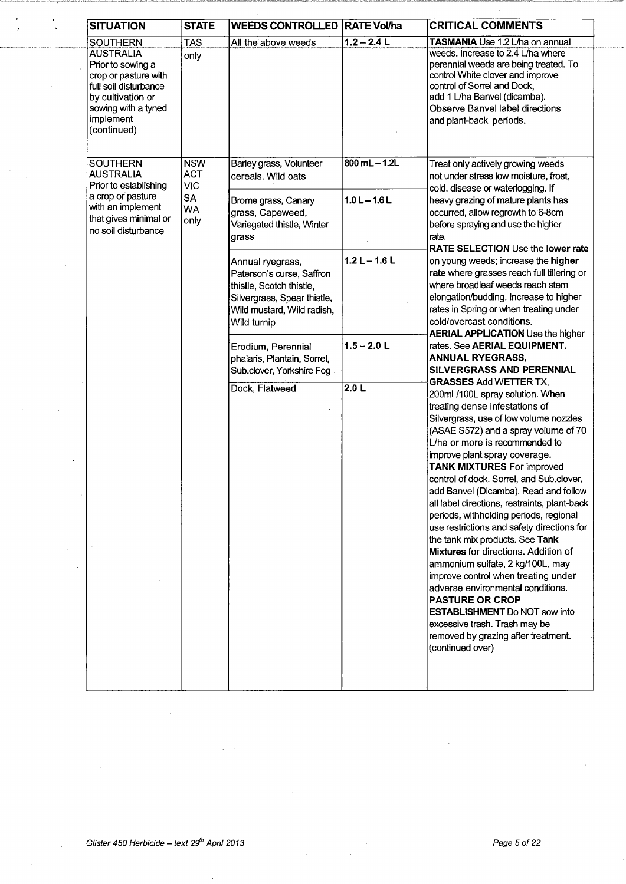| <b>SITUATION</b>                                                                                                                                                                  | <b>STATE</b>                                                             | <b>WEEDS CONTROLLED RATE Vol/ha</b>                                                                                                                   |                                      | <b>CRITICAL COMMENTS</b>                                                                                                                                                                                                                                                                                                                                                                                                                                                                                                                                                                                                                                                                                                                                                               |
|-----------------------------------------------------------------------------------------------------------------------------------------------------------------------------------|--------------------------------------------------------------------------|-------------------------------------------------------------------------------------------------------------------------------------------------------|--------------------------------------|----------------------------------------------------------------------------------------------------------------------------------------------------------------------------------------------------------------------------------------------------------------------------------------------------------------------------------------------------------------------------------------------------------------------------------------------------------------------------------------------------------------------------------------------------------------------------------------------------------------------------------------------------------------------------------------------------------------------------------------------------------------------------------------|
| <b>SOUTHERN</b><br><b>AUSTRALIA</b><br>Prior to sowing a<br>crop or pasture with<br>full soil disturbance<br>by cultivation or<br>sowing with a tyned<br>implement<br>(continued) | <b>TAS</b><br>only                                                       | All the above weeds                                                                                                                                   | $1.2 - 2.4$ L                        | TASMANIA Use 1.2 L/ha on annual<br>weeds. Increase to 2.4 L/ha where<br>perennial weeds are being treated. To<br>control White clover and improve<br>control of Sorrel and Dock,<br>add 1 L/ha Banvel (dicamba).<br>Observe Banvel label directions<br>and plant-back periods.                                                                                                                                                                                                                                                                                                                                                                                                                                                                                                         |
| <b>SOUTHERN</b><br><b>AUSTRALIA</b><br>Prior to establishing<br>a crop or pasture<br>with an implement<br>that gives minimal or<br>no soil disturbance                            | <b>NSW</b><br><b>ACT</b><br><b>VIC</b><br><b>SA</b><br><b>WA</b><br>only | Barley grass, Volunteer<br>cereals, Wild oats<br>Brome grass, Canary<br>grass, Capeweed,<br>Variegated thistle, Winter<br>grass                       | $800$ mL $-$ 1.2L<br>$1.0 L - 1.6 L$ | Treat only actively growing weeds<br>not under stress low moisture, frost,<br>cold, disease or waterlogging. If<br>heavy grazing of mature plants has<br>occurred, allow regrowth to 6-8cm<br>before spraying and use the higher<br>rate.                                                                                                                                                                                                                                                                                                                                                                                                                                                                                                                                              |
|                                                                                                                                                                                   |                                                                          | Annual ryegrass,<br>Paterson's curse, Saffron<br>thistle, Scotch thistle,<br>Silvergrass, Spear thistle,<br>Wild mustard, Wild radish,<br>Wild turnip | $1.2 L - 1.6 L$                      | <b>RATE SELECTION Use the lower rate</b><br>on young weeds; increase the higher<br>rate where grasses reach full tillering or<br>where broadleaf weeds reach stem<br>elongation/budding. Increase to higher<br>rates in Spring or when treating under<br>cold/overcast conditions.<br><b>AERIAL APPLICATION</b> Use the higher                                                                                                                                                                                                                                                                                                                                                                                                                                                         |
|                                                                                                                                                                                   |                                                                          | Erodium, Perennial<br>phalaris, Plantain, Sorrel,<br>Sub.clover, Yorkshire Fog.                                                                       | $1.5 - 2.0$ L                        | rates. See AERIAL EQUIPMENT.<br><b>ANNUAL RYEGRASS,</b><br>SILVERGRASS AND PERENNIAL<br><b>GRASSES Add WETTER TX,</b>                                                                                                                                                                                                                                                                                                                                                                                                                                                                                                                                                                                                                                                                  |
|                                                                                                                                                                                   |                                                                          | Dock, Flatweed                                                                                                                                        | 2.0 L                                | 200mL/100L spray solution. When<br>treating dense infestations of<br>Silvergrass, use of low volume nozzles<br>(ASAE S572) and a spray volume of 70<br>L/ha or more is recommended to<br>improve plant spray coverage.<br><b>TANK MIXTURES For improved</b><br>control of dock, Sorrel, and Sub.clover,<br>add Banvel (Dicamba). Read and follow<br>all label directions, restraints, plant-back<br>periods, withholding periods, regional<br>use restrictions and safety directions for<br>the tank mix products. See Tank<br>Mixtures for directions. Addition of<br>ammonium sulfate, 2 kg/100L, may<br>improve control when treating under<br>adverse environmental conditions.<br><b>PASTURE OR CROP</b><br><b>ESTABLISHMENT Do NOT sow into</b><br>excessive trash. Trash may be |
|                                                                                                                                                                                   |                                                                          |                                                                                                                                                       |                                      | removed by grazing after treatment.<br>(continued over)                                                                                                                                                                                                                                                                                                                                                                                                                                                                                                                                                                                                                                                                                                                                |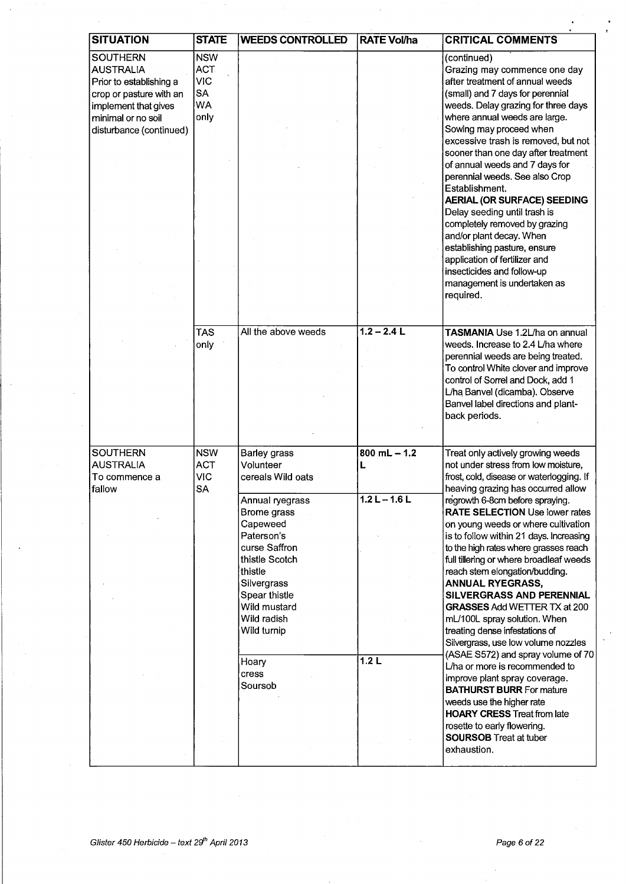| <b>SITUATION</b>        | <b>STATE</b> | <b>WEEDS CONTROLLED</b>        | <b>RATE Vol/ha</b> | <b>CRITICAL COMMENTS</b>                                                 |
|-------------------------|--------------|--------------------------------|--------------------|--------------------------------------------------------------------------|
| <b>SOUTHERN</b>         | <b>NSW</b>   |                                |                    | (continued)                                                              |
| <b>AUSTRALIA</b>        | <b>ACT</b>   |                                |                    | Grazing may commence one day                                             |
| Prior to establishing a | <b>VIC</b>   |                                |                    | after treatment of annual weeds                                          |
| crop or pasture with an | SA           |                                |                    | (small) and 7 days for perennial                                         |
| implement that gives    | <b>WA</b>    |                                |                    | weeds. Delay grazing for three days                                      |
| minimal or no soil      | only         |                                |                    | where annual weeds are large.                                            |
| disturbance (continued) |              |                                |                    | Sowing may proceed when                                                  |
|                         |              |                                |                    | excessive trash is removed, but not                                      |
|                         |              |                                |                    | sooner than one day after treatment                                      |
|                         |              |                                |                    | of annual weeds and 7 days for                                           |
|                         |              |                                |                    | perennial weeds. See also Crop<br>Establishment.                         |
|                         |              |                                |                    | AERIAL (OR SURFACE) SEEDING                                              |
|                         |              |                                |                    | Delay seeding until trash is                                             |
|                         |              |                                |                    | completely removed by grazing                                            |
|                         |              |                                |                    | and/or plant decay. When                                                 |
|                         |              |                                |                    | establishing pasture, ensure                                             |
|                         |              |                                |                    | application of fertilizer and                                            |
|                         |              |                                |                    | insecticides and follow-up                                               |
|                         |              |                                |                    | management is undertaken as                                              |
|                         |              |                                |                    | required.                                                                |
|                         |              |                                |                    |                                                                          |
|                         | <b>TAS</b>   | All the above weeds            | $1.2 - 2.4$ L      | TASMANIA Use 1.2L/ha on annual                                           |
|                         | only         |                                |                    | weeds. Increase to 2.4 L/ha where                                        |
|                         |              |                                |                    | perennial weeds are being treated.                                       |
|                         |              |                                |                    | To control White clover and improve                                      |
|                         |              |                                |                    | control of Sorrel and Dock, add 1                                        |
|                         |              |                                |                    | L/ha Banvel (dicamba). Observe                                           |
|                         |              |                                |                    | Banvel label directions and plant-                                       |
|                         |              |                                |                    | back periods.                                                            |
|                         |              |                                |                    |                                                                          |
| <b>SOUTHERN</b>         | <b>NSW</b>   | Barley grass                   | $800$ mL $- 1.2$   | Treat only actively growing weeds                                        |
| <b>AUSTRALIA</b>        | <b>ACT</b>   | Volunteer                      | L                  | not under stress from low moisture,                                      |
| To commence a           | <b>VIC</b>   | cereals Wild oats              |                    | frost, cold, disease or waterlogging. If                                 |
| fallow                  | <b>SA</b>    |                                | $1.21 - 1.61$      | heaving grazing has occurred allow                                       |
|                         |              | Annual ryegrass<br>Brome grass |                    | regrowth 6-8cm before spraying.<br><b>RATE SELECTION Use lower rates</b> |
|                         |              | Capeweed                       |                    | on young weeds or where cultivation                                      |
|                         |              | Paterson's                     |                    | is to follow within 21 days. Increasing                                  |
|                         |              | curse Saffron                  |                    | to the high rates where grasses reach                                    |
|                         |              | thistle Scotch                 |                    | full tillering or where broadleaf weeds                                  |
|                         |              | thistle                        |                    | reach stem elongation/budding.                                           |
|                         |              | Silvergrass                    |                    | <b>ANNUAL RYEGRASS,</b>                                                  |
|                         |              | Spear thistle                  |                    | SILVERGRASS AND PERENNIAL                                                |
|                         |              | Wild mustard<br>Wild radish    |                    | <b>GRASSES Add WETTER TX at 200</b><br>mL/100L spray solution. When      |
|                         |              | Wild turnip                    |                    | treating dense infestations of                                           |
|                         |              |                                |                    | Silvergrass, use low volume nozzles                                      |
|                         |              |                                |                    | (ASAE S572) and spray volume of 70                                       |
|                         |              | Hoary                          | 1.2L               | L/ha or more is recommended to                                           |
|                         |              | cress<br>Soursob               |                    | improve plant spray coverage.                                            |
|                         |              |                                |                    | <b>BATHURST BURR For mature</b>                                          |
|                         |              |                                |                    | weeds use the higher rate<br><b>HOARY CRESS Treat from late</b>          |
|                         |              |                                |                    | rosette to early flowering.                                              |
|                         |              |                                |                    | <b>SOURSOB</b> Treat at tuber                                            |
|                         |              |                                |                    | exhaustion.                                                              |
|                         |              |                                |                    |                                                                          |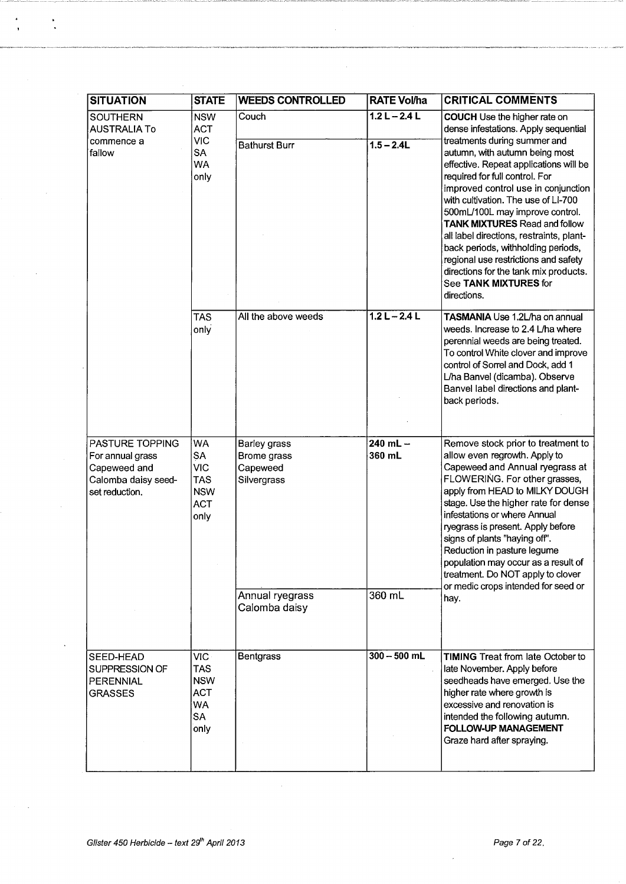| <b>SITUATION</b>                                                                             | <b>STATE</b>                                                                     | <b>WEEDS CONTROLLED</b>                                | <b>RATE Vol/ha</b>     | <b>CRITICAL COMMENTS</b>                                                                                                                                                                                                                                                                                                                                                                                                                                                                                       |
|----------------------------------------------------------------------------------------------|----------------------------------------------------------------------------------|--------------------------------------------------------|------------------------|----------------------------------------------------------------------------------------------------------------------------------------------------------------------------------------------------------------------------------------------------------------------------------------------------------------------------------------------------------------------------------------------------------------------------------------------------------------------------------------------------------------|
| <b>SOUTHERN</b><br>AUSTRALIA To                                                              | <b>NSW</b><br><b>ACT</b>                                                         | Couch                                                  | $1.2 L - 2.4 L$        | <b>COUCH</b> Use the higher rate on<br>dense infestations. Apply sequential                                                                                                                                                                                                                                                                                                                                                                                                                                    |
| commence a<br>fallow                                                                         | <b>VIC</b><br><b>SA</b><br><b>WA</b><br>only                                     | <b>Bathurst Burr</b>                                   | $1.5 - 2.4L$           | treatments during summer and<br>autumn, with autumn being most<br>effective. Repeat applications will be<br>required for full control. For<br>improved control use in conjunction<br>with cultivation. The use of LI-700<br>500mL/100L may improve control.<br><b>TANK MIXTURES Read and follow</b><br>all label directions, restraints, plant-<br>back periods, withholding periods,<br>regional use restrictions and safety<br>directions for the tank mix products.<br>See TANK MIXTURES for<br>directions. |
|                                                                                              | <b>TAS</b><br>only                                                               | All the above weeds                                    | $1.2 L - 2.4 L$        | TASMANIA Use 1.2L/ha on annual<br>weeds. Increase to 2.4 L/ha where<br>perennial weeds are being treated.<br>To control White clover and improve<br>control of Sorrel and Dock, add 1<br>L/ha Banvel (dicamba). Observe<br>Banvel label directions and plant-<br>back periods.                                                                                                                                                                                                                                 |
| PASTURE TOPPING<br>For annual grass<br>Capeweed and<br>Calomba daisy seed-<br>set reduction. | <b>WA</b><br>SA<br><b>VIC</b><br><b>TAS</b><br><b>NSW</b><br><b>ACT</b><br>only  | Barley grass<br>Brome grass<br>Capeweed<br>Silvergrass | $240$ mL $-$<br>360 mL | Remove stock prior to treatment to<br>allow even regrowth. Apply to<br>Capeweed and Annual ryegrass at<br>FLOWERING. For other grasses,<br>apply from HEAD to MILKY DOUGH<br>stage. Use the higher rate for dense<br>infestations or where Annual<br>ryegrass is present. Apply before<br>signs of plants "haying off".<br>Reduction in pasture legume<br>population may occur as a result of<br>treatment. Do NOT apply to clover<br>or medic crops intended for seed or                                      |
|                                                                                              |                                                                                  | Annual ryegrass<br>Calomba daisy                       | 360 mL                 | hay.                                                                                                                                                                                                                                                                                                                                                                                                                                                                                                           |
| SEED-HEAD<br>SUPPRESSION OF<br>PERENNIAL<br><b>GRASSES</b>                                   | VIC-<br><b>TAS</b><br><b>NSW</b><br><b>ACT</b><br><b>WA</b><br><b>SA</b><br>only | Bentgrass                                              | $300 - 500$ mL         | <b>TIMING Treat from late October to</b><br>late November. Apply before<br>seedheads have emerged. Use the<br>higher rate where growth is<br>excessive and renovation is<br>intended the following autumn.<br><b>FOLLOW-UP MANAGEMENT</b><br>Graze hard after spraying.                                                                                                                                                                                                                                        |

 $\ddot{\phantom{a}}$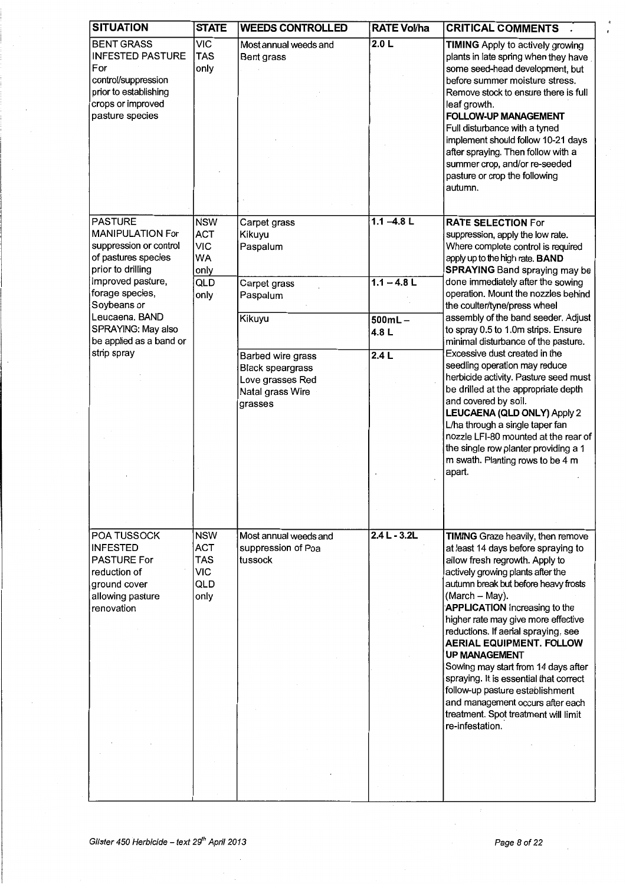| <b>SITUATION</b>                                                                                                                            | <b>STATE</b>                                                        | <b>WEEDS CONTROLLED</b>                                                                         | <b>RATE Vol/ha</b> | <b>CRITICAL COMMENTS</b>                                                                                                                                                                                                                                                                                                                                                                                                                                                                                                                                                                                      |
|---------------------------------------------------------------------------------------------------------------------------------------------|---------------------------------------------------------------------|-------------------------------------------------------------------------------------------------|--------------------|---------------------------------------------------------------------------------------------------------------------------------------------------------------------------------------------------------------------------------------------------------------------------------------------------------------------------------------------------------------------------------------------------------------------------------------------------------------------------------------------------------------------------------------------------------------------------------------------------------------|
| <b>BENT GRASS</b><br><b>INFESTED PASTURE</b><br>For<br>control/suppression<br>prior to establishing<br>crops or improved<br>pasture species | <b>VIC</b><br><b>TAS</b><br>only                                    | Most annual weeds and<br>Bent grass                                                             | 2.0 L              | <b>TIMING</b> Apply to actively growing<br>plants in late spring when they have<br>some seed-head development, but<br>before summer moisture stress.<br>Remove stock to ensure there is full<br>leaf growth.<br><b>FOLLOW-UP MANAGEMENT</b><br>Full disturbance with a tyned<br>implement should follow 10-21 days<br>after spraying. Then follow with a<br>summer crop, and/or re-seeded<br>pasture or crop the following<br>autumn.                                                                                                                                                                         |
| <b>PASTURE</b><br>MANIPULATION For<br>suppression or control<br>of pastures species<br>prior to drilling                                    | <b>NSW</b><br><b>ACT</b><br><b>VIC</b><br>WA<br>only                | Carpet grass<br>Kikuyu<br>Paspalum                                                              | $1.1 - 4.8$ L      | <b>RATE SELECTION For</b><br>suppression, apply the low rate.<br>Where complete control is required<br>apply up to the high rate. BAND<br><b>SPRAYING</b> Band spraying may be                                                                                                                                                                                                                                                                                                                                                                                                                                |
| improved pasture,<br>forage species,<br>Soybeans or                                                                                         | QLD<br>only                                                         | Carpet grass<br>Paspalum                                                                        | $1.1 - 4.8$ L      | done immediately after the sowing<br>operation. Mount the nozzles behind<br>the coulter/tyne/press wheel                                                                                                                                                                                                                                                                                                                                                                                                                                                                                                      |
| Leucaena, BAND<br>SPRAYING: May also<br>be applied as a band or                                                                             |                                                                     | Kikuyu                                                                                          | $500mL -$<br>4.8L  | assembly of the band seeder. Adjust<br>to spray 0.5 to 1.0m strips. Ensure<br>minimal disturbance of the pasture.                                                                                                                                                                                                                                                                                                                                                                                                                                                                                             |
| strip spray                                                                                                                                 |                                                                     | Barbed wire grass<br><b>Black speargrass</b><br>Love grasses Red<br>Natal grass Wire<br>grasses | 2.4L               | Excessive dust created in the<br>seedling operation may reduce<br>herbicide activity. Pasture seed must<br>be drilled at the appropriate depth<br>and covered by soil.<br>LEUCAENA (QLD ONLY) Apply 2<br>L/ha through a single taper fan<br>nozzle LFI-80 mounted at the rear of<br>the single row planter providing a 1<br>m swath. Planting rows to be 4 m<br>apart.                                                                                                                                                                                                                                        |
| POA TUSSOCK<br><b>INFESTED</b><br><b>PASTURE For</b><br>reduction of<br>ground cover<br>allowing pasture<br>renovation                      | <b>NSW</b><br><b>ACT</b><br><b>TAS</b><br><b>VIC</b><br>QLD<br>only | Most annual weeds and<br>suppression of Poa<br>tussock                                          | $2.4 L - 3.2 L$    | TIMING Graze heavily, then remove<br>at least 14 days before spraying to<br>allow fresh regrowth. Apply to<br>actively growing plants after the<br>autumn break but before heavy frosts<br>(March - May).<br><b>APPLICATION</b> Increasing to the<br>higher rate may give more effective<br>reductions. If aerial spraying, see<br><b>AERIAL EQUIPMENT. FOLLOW</b><br><b>UP MANAGEMENT</b><br>Sowing may start from 14 days after<br>spraying. It is essential that correct<br>follow-up pasture establishment<br>and management occurs after each<br>treatment. Spot treatment will limit<br>re-infestation. |
|                                                                                                                                             |                                                                     |                                                                                                 |                    |                                                                                                                                                                                                                                                                                                                                                                                                                                                                                                                                                                                                               |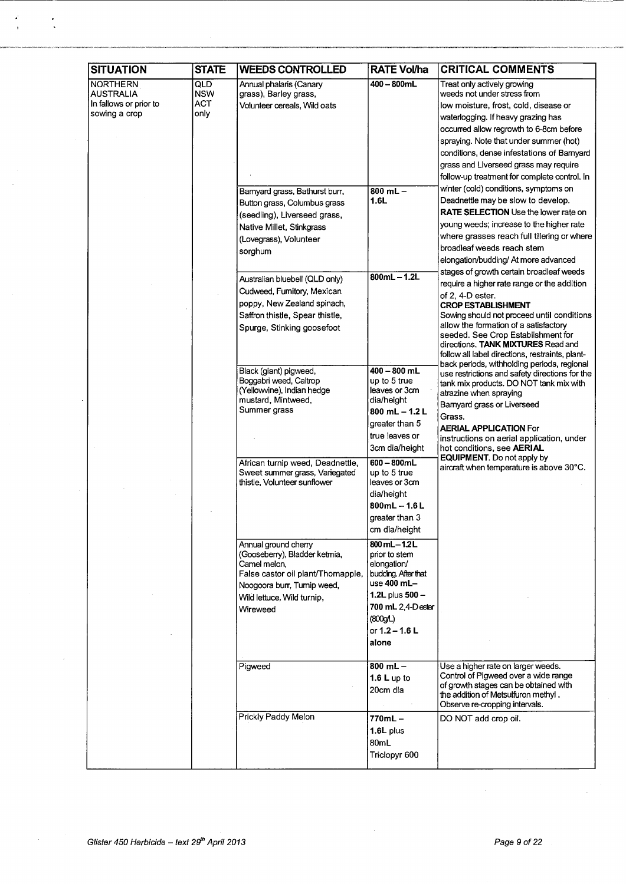| <b>SITUATION</b>                                                               | <b>STATE</b>                                   | <b>WEEDS CONTROLLED</b>                                                                                                                                                              | <b>RATE Vol/ha</b>                                                                                                                                                    | <b>CRITICAL COMMENTS</b>                                                                                                                                                                                                                                                                                                                                                                                         |
|--------------------------------------------------------------------------------|------------------------------------------------|--------------------------------------------------------------------------------------------------------------------------------------------------------------------------------------|-----------------------------------------------------------------------------------------------------------------------------------------------------------------------|------------------------------------------------------------------------------------------------------------------------------------------------------------------------------------------------------------------------------------------------------------------------------------------------------------------------------------------------------------------------------------------------------------------|
| <b>NORTHERN</b><br><b>AUSTRALIA</b><br>In fallows or prior to<br>sowing a crop | <b>QLD</b><br><b>NSW</b><br><b>ACT</b><br>only | Annual phalaris (Canary<br>grass), Barley grass,<br>Volunteer cereals, Wild oats                                                                                                     | $400 - 800$ mL                                                                                                                                                        | Treat only actively growing<br>weeds not under stress from<br>low moisture, frost, cold, disease or<br>waterlogging. If heavy grazing has<br>occurred allow regrowth to 6-8cm before<br>spraying. Note that under summer (hot)<br>conditions, dense infestations of Barnyard<br>grass and Liverseed grass may require<br>follow-up treatment for complete control. In                                            |
|                                                                                |                                                | Barnyard grass, Bathurst burr,<br>Button grass, Columbus grass<br>(seedling), Liverseed grass,<br>Native Millet, Stinkgrass<br>(Lovegrass), Volunteer<br>sorghum                     | $800$ mL $-$<br>1.6L                                                                                                                                                  | winter (cold) conditions, symptoms on<br>Deadnettle may be slow to develop.<br><b>RATE SELECTION</b> Use the lower rate on<br>young weeds; increase to the higher rate<br>where grasses reach full tillering or where<br>broadleaf weeds reach stem<br>elongation/budding/ At more advanced                                                                                                                      |
|                                                                                |                                                | Australian bluebell (QLD only)<br>Cudweed, Fumitory, Mexican<br>poppy, New Zealand spinach,<br>Saffron thistle, Spear thistle,<br>Spurge, Stinking goosefoot                         | $800mL - 1.2L$                                                                                                                                                        | stages of growth certain broadleaf weeds<br>require a higher rate range or the addition<br>of $2, 4$ -D ester.<br><b>CROP ESTABLISHMENT</b><br>Sowing should not proceed until conditions<br>allow the formation of a satisfactory<br>seeded. See Crop Establishment for<br>directions. TANK MIXTURES Read and<br>follow all label directions, restraints, plant-<br>back periods, withholding periods, regional |
|                                                                                |                                                | Black (giant) pigweed,<br>Boggabri weed, Caltrop<br>(Yellowvine), Indian hedge<br>mustard, Mintweed,<br>Summer grass                                                                 | $400 - 800$ mL<br>up to 5 true<br>leaves or 3cm<br>dia/height<br>$800$ mL $- 1.2$ L<br>greater than 5<br>true leaves or<br>3cm dia/height                             | use restrictions and safety directions for the<br>tank mix products. DO NOT tank mix with<br>atrazine when spraying<br>Barnyard grass or Liverseed<br>Grass.<br><b>AERIAL APPLICATION For</b><br>instructions on aerial application, under<br>hot conditions, see AERIAL                                                                                                                                         |
|                                                                                |                                                | African turnip weed, Deadnettle,<br>Sweet summer grass, Variegated<br>thistle, Volunteer sunflower                                                                                   | $600 - 800mL$<br>up to 5 true<br>leaves or 3cm<br>dia/height<br>$800mL - 1.6 L$<br>greater than 3<br>cm dia/height                                                    | <b>EQUIPMENT.</b> Do not apply by<br>aircraft when temperature is above 30°C.                                                                                                                                                                                                                                                                                                                                    |
|                                                                                |                                                | Annual ground cherry<br>(Gooseberry), Bladder ketmia,<br>Camel melon,<br>False castor oil plant/Thornapple,<br>Noogoora burr, Turnip weed,<br>Wild lettuce, Wild turnip,<br>Wireweed | 800 mL-1.2L<br>prior to stem<br>elongation/<br>budding. After that<br>use $400$ mL-<br>1.2L plus $500 -$<br>700 mL 2,4-Dester<br>(800gL)<br>or $1.2 - 1.6 L$<br>alone |                                                                                                                                                                                                                                                                                                                                                                                                                  |
|                                                                                |                                                | Pigweed                                                                                                                                                                              | $800$ mL $-$<br>1.6 L up to<br>20cm dia                                                                                                                               | Use a higher rate on larger weeds.<br>Control of Pigweed over a wide range<br>of growth stages can be obtained with<br>the addition of Metsulfuron methyl.<br>Observe re-cropping intervals.                                                                                                                                                                                                                     |
|                                                                                |                                                | Prickly Paddy Melon                                                                                                                                                                  | 770mL –<br>$1.6L$ plus<br>80mL<br>Triclopyr 600                                                                                                                       | DO NOT add crop oil.                                                                                                                                                                                                                                                                                                                                                                                             |

¥

 $\ddot{\cdot}$ 

 $\ddot{\phantom{0}}$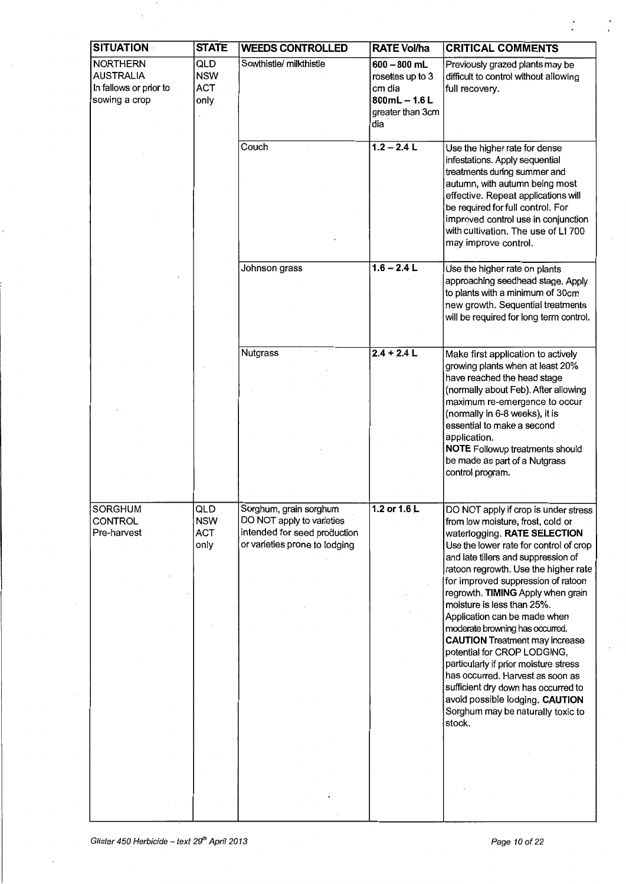| <b>SITUATION</b>                                                               | <b>STATE</b>                            | <b>WEEDS CONTROLLED</b>                                                                                              | <b>RATE Vol/ha</b>                                                                        | <b>CRITICAL COMMENTS</b>                                                                                                                                                                                                                                                                                                                                                                                                                                                                                                                                                                                                                                                                     |
|--------------------------------------------------------------------------------|-----------------------------------------|----------------------------------------------------------------------------------------------------------------------|-------------------------------------------------------------------------------------------|----------------------------------------------------------------------------------------------------------------------------------------------------------------------------------------------------------------------------------------------------------------------------------------------------------------------------------------------------------------------------------------------------------------------------------------------------------------------------------------------------------------------------------------------------------------------------------------------------------------------------------------------------------------------------------------------|
| <b>NORTHERN</b><br><b>AUSTRALIA</b><br>In fallows or prior to<br>sowing a crop | QLD<br><b>NSW</b><br><b>ACT</b><br>only | Sowthistle/ milkthistle                                                                                              | $600 - 800$ mL<br>rosettes up to 3<br>cm dia<br>$800mL - 1.6L$<br>greater than 3cm<br>dia | Previously grazed plants may be<br>difficult to control without allowing<br>full recovery.                                                                                                                                                                                                                                                                                                                                                                                                                                                                                                                                                                                                   |
|                                                                                |                                         | Couch                                                                                                                | $1.2 - 2.4$ L                                                                             | Use the higher rate for dense<br>infestations. Apply sequential<br>treatments during summer and<br>autumn, with autumn being most<br>effective. Repeat applications will<br>be required for full control. For<br>improved control use in conjunction<br>with cultivation. The use of LI 700<br>may improve control.                                                                                                                                                                                                                                                                                                                                                                          |
|                                                                                |                                         | Johnson grass                                                                                                        | $1.6 - 2.4 L$                                                                             | Use the higher rate on plants<br>approaching seedhead stage. Apply<br>to plants with a minimum of 30cm<br>new growth. Sequential treatments<br>will be required for long term control.                                                                                                                                                                                                                                                                                                                                                                                                                                                                                                       |
|                                                                                |                                         | <b>Nutgrass</b>                                                                                                      | $2.4 + 2.4 L$                                                                             | Make first application to actively<br>growing plants when at least 20%<br>have reached the head stage<br>(normally about Feb). After allowing<br>maximum re-emergence to occur<br>(normally in 6-8 weeks), it is<br>essential to make a second<br>application.<br>NOTE Followup treatments should<br>be made as part of a Nutgrass<br>control program.                                                                                                                                                                                                                                                                                                                                       |
| <b>SORGHUM</b><br>CONTROL<br>Pre-harvest                                       | QLD<br><b>NSW</b><br><b>ACT</b><br>only | Sorghum, grain sorghum<br>DO NOT apply to varieties<br>intended for seed production<br>or varieties prone to lodging | 1.2 or 1.6 L                                                                              | DO NOT apply if crop is under stress<br>from low moisture, frost, cold or<br>waterlogging. RATE SELECTION<br>Use the lower rate for control of crop<br>and late tillers and suppression of<br>ratoon regrowth. Use the higher rate<br>for improved suppression of ratoon<br>regrowth. TIMING Apply when grain<br>moisture is less than 25%.<br>Application can be made when<br>moderate browning has occurred.<br><b>CAUTION</b> Treatment may increase<br>potential for CROP LODGING,<br>particularly if prior moisture stress<br>has occurred. Harvest as soon as<br>sufficient dry down has occurred to<br>avoid possible lodging. CAUTION<br>Sorghum may be naturally toxic to<br>stock. |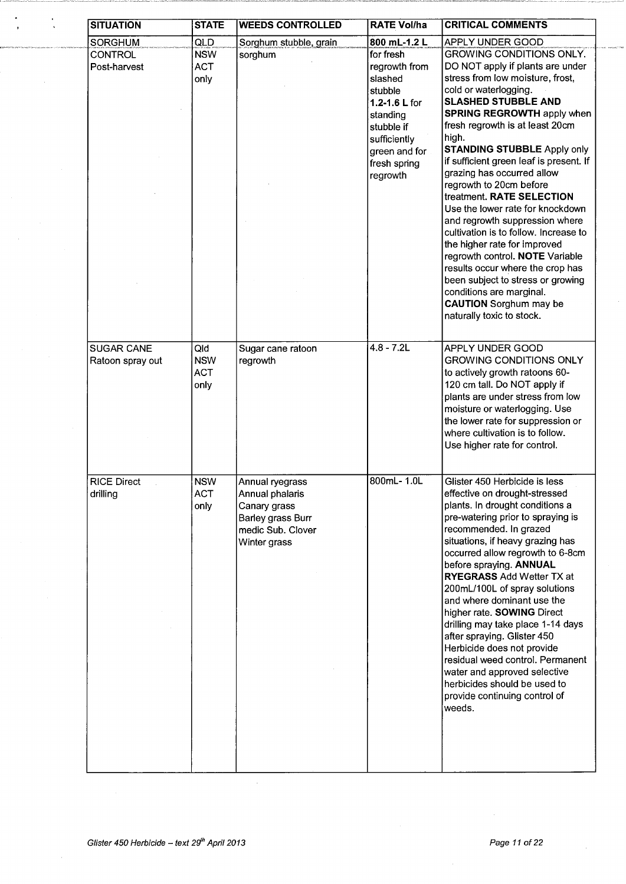| <b>SITUATION</b>   | <b>STATE</b> | <b>WEEDS CONTROLLED</b> | <b>RATE Vol/ha</b> | <b>CRITICAL COMMENTS</b>                |
|--------------------|--------------|-------------------------|--------------------|-----------------------------------------|
| <b>SORGHUM</b>     | QLD          | Sorghum stubble, grain  | 800 mL-1.2 L       | APPLY UNDER GOOD                        |
| <b>CONTROL</b>     | <b>NSW</b>   | sorghum                 | for fresh          | <b>GROWING CONDITIONS ONLY.</b>         |
| Post-harvest       | <b>ACT</b>   |                         | regrowth from      | DO NOT apply if plants are under        |
|                    | only         |                         | slashed            | stress from low moisture, frost,        |
|                    |              |                         | stubble            | cold or waterlogging.                   |
|                    |              |                         | 1.2-1.6 L for      | <b>SLASHED STUBBLE AND</b>              |
|                    |              |                         | standing           | <b>SPRING REGROWTH apply when</b>       |
|                    |              |                         | stubble if         | fresh regrowth is at least 20cm         |
|                    |              |                         | sufficiently       | high.                                   |
|                    |              |                         | green and for      | <b>STANDING STUBBLE Apply only</b>      |
|                    |              |                         | fresh spring       | if sufficient green leaf is present. If |
|                    |              |                         |                    | grazing has occurred allow              |
|                    |              |                         | regrowth           | regrowth to 20cm before                 |
|                    |              |                         |                    | treatment. RATE SELECTION               |
|                    |              |                         |                    | Use the lower rate for knockdown        |
|                    |              |                         |                    | and regrowth suppression where          |
|                    |              |                         |                    | cultivation is to follow. Increase to   |
|                    |              |                         |                    | the higher rate for improved            |
|                    |              |                         |                    | regrowth control. NOTE Variable         |
|                    |              |                         |                    | results occur where the crop has        |
|                    |              |                         |                    |                                         |
|                    |              |                         |                    | been subject to stress or growing       |
|                    |              |                         |                    | conditions are marginal.                |
|                    |              |                         |                    | <b>CAUTION</b> Sorghum may be           |
|                    |              |                         |                    | naturally toxic to stock.               |
|                    |              |                         |                    |                                         |
| <b>SUGAR CANE</b>  | Qld          | Sugar cane ratoon       | $4.8 - 7.2L$       | APPLY UNDER GOOD                        |
| Ratoon spray out   | <b>NSW</b>   | regrowth                |                    | <b>GROWING CONDITIONS ONLY</b>          |
|                    | <b>ACT</b>   |                         |                    | to actively growth ratoons 60-          |
|                    | only         |                         |                    | 120 cm tall. Do NOT apply if            |
|                    |              |                         |                    | plants are under stress from low        |
|                    |              |                         |                    | moisture or waterlogging. Use           |
|                    |              |                         |                    | the lower rate for suppression or       |
|                    |              |                         |                    | where cultivation is to follow.         |
|                    |              |                         |                    | Use higher rate for control.            |
|                    |              |                         |                    |                                         |
| <b>RICE Direct</b> | <b>NSW</b>   | Annual ryegrass         | 800mL- 1.0L        | Glister 450 Herbicide is less           |
| drilling           | <b>ACT</b>   | Annual phalaris         |                    | effective on drought-stressed           |
|                    | only         | Canary grass            |                    | plants. In drought conditions a         |
|                    |              | Barley grass Burr       |                    | pre-watering prior to spraying is       |
|                    |              | medic Sub. Clover       |                    | recommended. In grazed                  |
|                    |              | Winter grass            |                    | situations, if heavy grazing has        |
|                    |              |                         |                    | occurred allow regrowth to 6-8cm        |
|                    |              |                         |                    | before spraying. ANNUAL                 |
|                    |              |                         |                    | <b>RYEGRASS Add Wetter TX at</b>        |
|                    |              |                         |                    | 200mL/100L of spray solutions           |
|                    |              |                         |                    | and where dominant use the              |
|                    |              |                         |                    | higher rate. SOWING Direct              |
|                    |              |                         |                    | drilling may take place 1-14 days       |
|                    |              |                         |                    | after spraying. Glister 450             |
|                    |              |                         |                    | Herbicide does not provide              |
|                    |              |                         |                    | residual weed control. Permanent        |
|                    |              |                         |                    |                                         |
|                    |              |                         |                    | water and approved selective            |
|                    |              |                         |                    | herbicides should be used to            |
|                    |              |                         |                    | provide continuing control of           |
|                    |              |                         |                    | weeds.                                  |
|                    |              |                         |                    |                                         |
|                    |              |                         |                    |                                         |
|                    |              |                         |                    |                                         |

 $\bar{\gamma}$ 

 $\ddot{\phantom{0}}$ 

 $\frac{1}{3}$ 

à,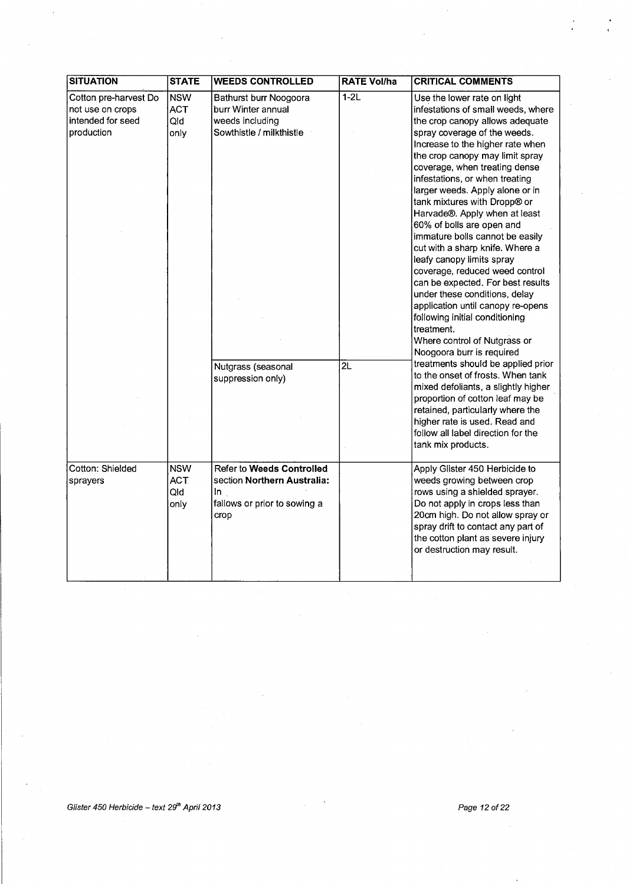| <b>SITUATION</b>                                                             | <b>STATE</b>                            | <b>WEEDS CONTROLLED</b>                                                                                                                | <b>RATE Vol/ha</b>        | <b>CRITICAL COMMENTS</b>                                                                                                                                                                                                                                                                                                                                                                                                                                                                                                                                                                                                                                                                                                                                                                                                                                                                                                                                                                                                                                            |
|------------------------------------------------------------------------------|-----------------------------------------|----------------------------------------------------------------------------------------------------------------------------------------|---------------------------|---------------------------------------------------------------------------------------------------------------------------------------------------------------------------------------------------------------------------------------------------------------------------------------------------------------------------------------------------------------------------------------------------------------------------------------------------------------------------------------------------------------------------------------------------------------------------------------------------------------------------------------------------------------------------------------------------------------------------------------------------------------------------------------------------------------------------------------------------------------------------------------------------------------------------------------------------------------------------------------------------------------------------------------------------------------------|
| Cotton pre-harvest Do<br>not use on crops<br>intended for seed<br>production | <b>NSW</b><br><b>ACT</b><br>Qld<br>only | Bathurst burr Noogoora<br>burr Winter annual<br>weeds including<br>Sowthistle / milkthistle<br>Nutgrass (seasonal<br>suppression only) | $1-2L$<br>$\overline{2L}$ | Use the lower rate on light<br>infestations of small weeds, where<br>the crop canopy allows adequate<br>spray coverage of the weeds.<br>Increase to the higher rate when<br>the crop canopy may limit spray<br>coverage, when treating dense<br>infestations, or when treating<br>larger weeds. Apply alone or in<br>tank mixtures with Dropp® or<br>Harvade®. Apply when at least<br>60% of bolls are open and<br>immature bolls cannot be easily<br>cut with a sharp knife. Where a<br>leafy canopy limits spray<br>coverage, reduced weed control<br>can be expected. For best results<br>under these conditions, delay<br>application until canopy re-opens<br>following initial conditioning<br>treatment.<br>Where control of Nutgrass or<br>Noogoora burr is required<br>treatments should be applied prior<br>to the onset of frosts. When tank<br>mixed defoliants, a slightly higher<br>proportion of cotton leaf may be<br>retained, particularly where the<br>higher rate is used. Read and<br>follow all label direction for the<br>tank mix products. |
| Cotton: Shielded<br>sprayers                                                 | <b>NSW</b><br><b>ACT</b><br>Qld<br>only | Refer to Weeds Controlled<br>section Northern Australia:<br>In.<br>fallows or prior to sowing a<br>crop                                |                           | Apply Glister 450 Herbicide to<br>weeds growing between crop<br>rows using a shielded sprayer.<br>Do not apply in crops less than<br>20cm high. Do not allow spray or<br>spray drift to contact any part of<br>the cotton plant as severe injury<br>or destruction may result.                                                                                                                                                                                                                                                                                                                                                                                                                                                                                                                                                                                                                                                                                                                                                                                      |

÷,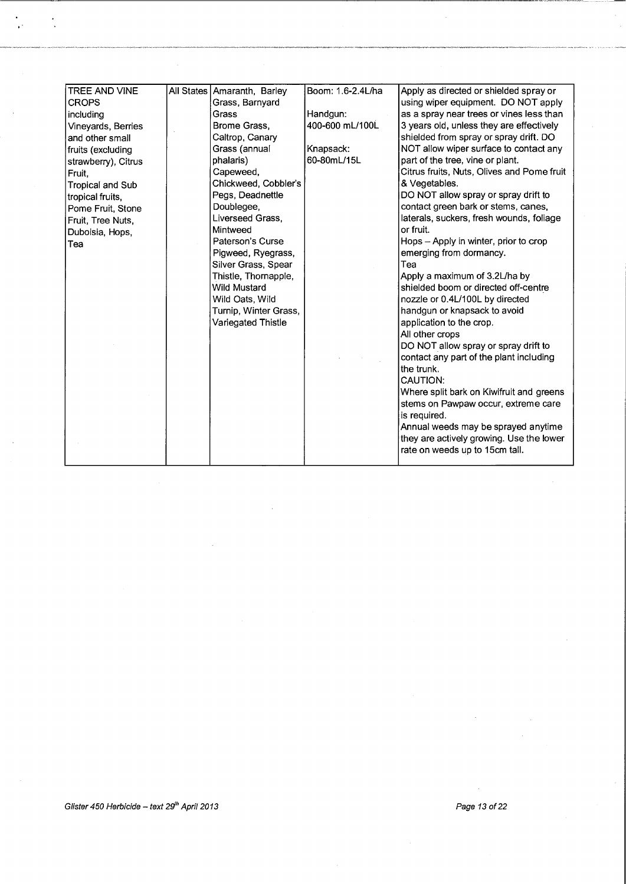| TREE AND VINE       | All States Amaranth, Barley | Boom: 1.6-2.4L/ha | Apply as directed or shielded spray or     |
|---------------------|-----------------------------|-------------------|--------------------------------------------|
| <b>CROPS</b>        | Grass, Barnyard             |                   | using wiper equipment. DO NOT apply        |
| including           | Grass                       | Handgun:          | as a spray near trees or vines less than   |
| Vineyards, Berries  | Brome Grass,                | 400-600 mL/100L   | 3 years old, unless they are effectively   |
| and other small     | Caltrop, Canary             |                   | shielded from spray or spray drift. DO     |
| fruits (excluding   | Grass (annual               | Knapsack:         | NOT allow wiper surface to contact any     |
| strawberry), Citrus | phalaris)                   | 60-80mL/15L       | part of the tree, vine or plant.           |
| Fruit.              | Capeweed,                   |                   | Citrus fruits, Nuts, Olives and Pome fruit |
| Tropical and Sub    | Chickweed, Cobbler's        |                   | & Vegetables.                              |
| tropical fruits,    | Pegs, Deadnettle            |                   | DO NOT allow spray or spray drift to       |
| Pome Fruit, Stone   | Doublegee,                  |                   | contact green bark or stems, canes,        |
| Fruit, Tree Nuts,   | Liverseed Grass.            |                   | laterals, suckers, fresh wounds, foliage   |
| Duboisia, Hops,     | Mintweed                    |                   | or fruit.                                  |
| Tea                 | Paterson's Curse            |                   | Hops - Apply in winter, prior to crop      |
|                     | Pigweed, Ryegrass,          |                   | emerging from dormancy.                    |
|                     | Silver Grass, Spear         |                   | Tea                                        |
|                     | Thistle, Thornapple,        |                   | Apply a maximum of 3.2L/ha by              |
|                     | <b>Wild Mustard</b>         |                   | shielded boom or directed off-centre       |
|                     | Wild Oats, Wild             |                   | nozzle or 0.4L/100L by directed            |
|                     | Turnip, Winter Grass,       |                   | handgun or knapsack to avoid               |
|                     | Variegated Thistle          |                   | application to the crop.                   |
|                     |                             |                   | All other crops                            |
|                     |                             |                   | DO NOT allow spray or spray drift to       |
|                     |                             |                   | contact any part of the plant including    |
|                     |                             |                   | the trunk.                                 |
|                     |                             |                   | CAUTION:                                   |
|                     |                             |                   | Where split bark on Kiwifruit and greens   |
|                     |                             |                   | stems on Pawpaw occur, extreme care        |
|                     |                             |                   | is required.                               |
|                     |                             |                   | Annual weeds may be sprayed anytime        |
|                     |                             |                   | they are actively growing. Use the lower   |
|                     |                             |                   | rate on weeds up to 15cm tall.             |
|                     |                             |                   |                                            |
|                     |                             |                   |                                            |

,·

 $\ddot{\cdot}$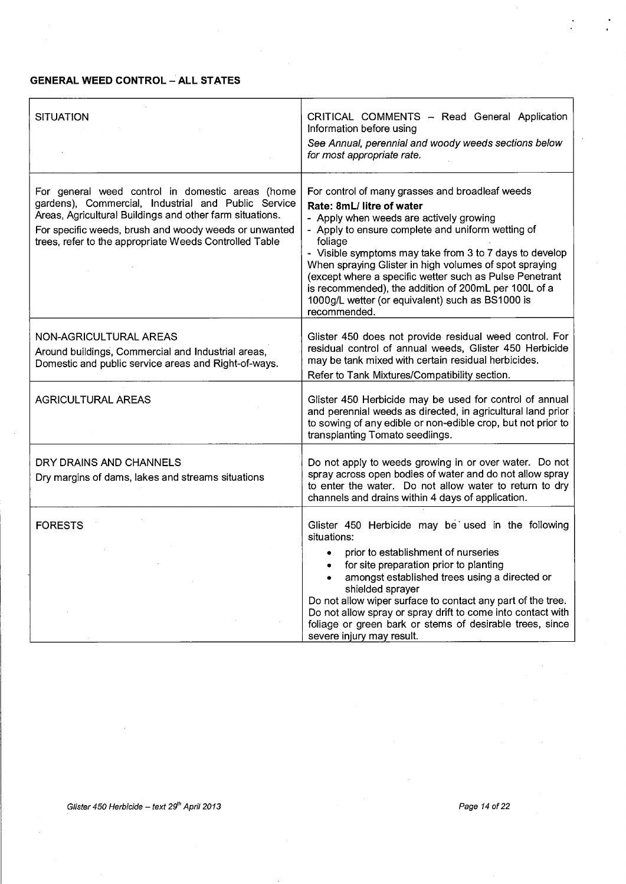## **GENERAL WEED CONTROL- ALL STATES**

| <b>SITUATION</b>                                                                                                                                                                                                                                                                       | CRITICAL COMMENTS - Read General Application<br>Information before using<br>See Annual, perennial and woody weeds sections below<br>for most appropriate rate.                                                                                                                                                                                                                                                                                                                                      |
|----------------------------------------------------------------------------------------------------------------------------------------------------------------------------------------------------------------------------------------------------------------------------------------|-----------------------------------------------------------------------------------------------------------------------------------------------------------------------------------------------------------------------------------------------------------------------------------------------------------------------------------------------------------------------------------------------------------------------------------------------------------------------------------------------------|
| For general weed control in domestic areas (home<br>gardens), Commercial, Industrial and Public Service<br>Areas, Agricultural Buildings and other farm situations.<br>For specific weeds, brush and woody weeds or unwanted<br>trees, refer to the appropriate Weeds Controlled Table | For control of many grasses and broadleaf weeds<br>Rate: 8mL/ litre of water<br>- Apply when weeds are actively growing<br>- Apply to ensure complete and uniform wetting of<br>foliage<br>- Visible symptoms may take from 3 to 7 days to develop<br>When spraying Glister in high volumes of spot spraying<br>(except where a specific wetter such as Pulse Penetrant<br>is recommended), the addition of 200mL per 100L of a<br>1000g/L wetter (or equivalent) such as BS1000 is<br>recommended. |
| NON-AGRICULTURAL AREAS<br>Around buildings, Commercial and Industrial areas,<br>Domestic and public service areas and Right-of-ways.                                                                                                                                                   | Glister 450 does not provide residual weed control. For<br>residual control of annual weeds, Glister 450 Herbicide<br>may be tank mixed with certain residual herbicides.<br>Refer to Tank Mixtures/Compatibility section.                                                                                                                                                                                                                                                                          |
| <b>AGRICULTURAL AREAS</b>                                                                                                                                                                                                                                                              | Glister 450 Herbicide may be used for control of annual<br>and perennial weeds as directed, in agricultural land prior<br>to sowing of any edible or non-edible crop, but not prior to<br>transplanting Tomato seedlings.                                                                                                                                                                                                                                                                           |
| DRY DRAINS AND CHANNELS<br>Dry margins of dams, lakes and streams situations                                                                                                                                                                                                           | Do not apply to weeds growing in or over water. Do not<br>spray across open bodies of water and do not allow spray<br>to enter the water. Do not allow water to return to dry<br>channels and drains within 4 days of application.                                                                                                                                                                                                                                                                  |
| <b>FORESTS</b>                                                                                                                                                                                                                                                                         | Glister 450 Herbicide may be used in the following<br>situations:<br>prior to establishment of nurseries<br>$\bullet$<br>for site preparation prior to planting<br>amongst established trees using a directed or<br>shielded sprayer<br>Do not allow wiper surface to contact any part of the tree.<br>Do not allow spray or spray drift to come into contact with<br>foliage or green bark or stems of desirable trees, since<br>severe injury may result.                                         |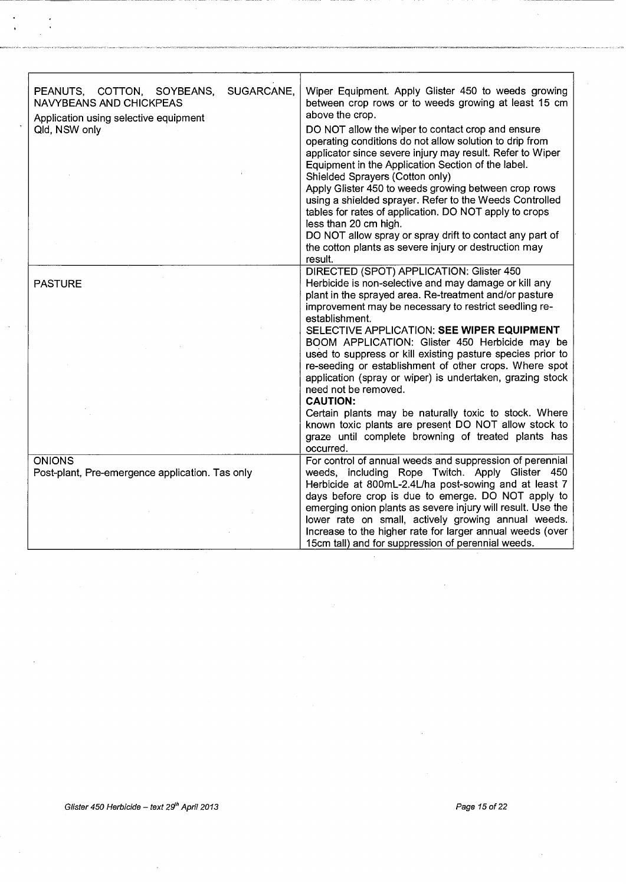| SUGARCANE,<br>PEANUTS, COTTON, SOYBEANS,<br><b>NAVYBEANS AND CHICKPEAS</b><br>Application using selective equipment<br>Qld, NSW only | Wiper Equipment. Apply Glister 450 to weeds growing<br>between crop rows or to weeds growing at least 15 cm<br>above the crop.<br>DO NOT allow the wiper to contact crop and ensure<br>operating conditions do not allow solution to drip from<br>applicator since severe injury may result. Refer to Wiper<br>Equipment in the Application Section of the label.<br>Shielded Sprayers (Cotton only)<br>Apply Glister 450 to weeds growing between crop rows<br>using a shielded sprayer. Refer to the Weeds Controlled<br>tables for rates of application. DO NOT apply to crops<br>less than 20 cm high.<br>DO NOT allow spray or spray drift to contact any part of<br>the cotton plants as severe injury or destruction may<br>result.                  |
|--------------------------------------------------------------------------------------------------------------------------------------|-------------------------------------------------------------------------------------------------------------------------------------------------------------------------------------------------------------------------------------------------------------------------------------------------------------------------------------------------------------------------------------------------------------------------------------------------------------------------------------------------------------------------------------------------------------------------------------------------------------------------------------------------------------------------------------------------------------------------------------------------------------|
| <b>PASTURE</b>                                                                                                                       | DIRECTED (SPOT) APPLICATION: Glister 450<br>Herbicide is non-selective and may damage or kill any<br>plant in the sprayed area. Re-treatment and/or pasture<br>improvement may be necessary to restrict seedling re-<br>establishment.<br>SELECTIVE APPLICATION: SEE WIPER EQUIPMENT<br>BOOM APPLICATION: Glister 450 Herbicide may be<br>used to suppress or kill existing pasture species prior to<br>re-seeding or establishment of other crops. Where spot<br>application (spray or wiper) is undertaken, grazing stock<br>need not be removed.<br><b>CAUTION:</b><br>Certain plants may be naturally toxic to stock. Where<br>known toxic plants are present DO NOT allow stock to<br>graze until complete browning of treated plants has<br>occurred. |
| <b>ONIONS</b><br>Post-plant, Pre-emergence application. Tas only                                                                     | For control of annual weeds and suppression of perennial<br>weeds, including Rope Twitch. Apply Glister 450<br>Herbicide at 800mL-2.4L/ha post-sowing and at least 7<br>days before crop is due to emerge. DO NOT apply to<br>emerging onion plants as severe injury will result. Use the<br>lower rate on small, actively growing annual weeds.<br>Increase to the higher rate for larger annual weeds (over<br>15cm tall) and for suppression of perennial weeds.                                                                                                                                                                                                                                                                                         |

---------- ---------------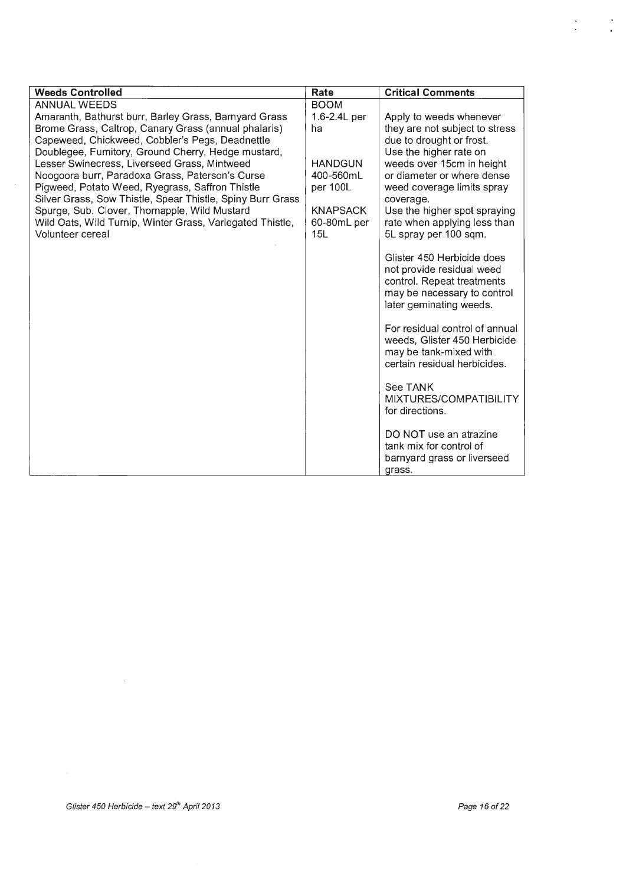| <b>Weeds Controlled</b>                                                                            | Rate                  | <b>Critical Comments</b>                                 |
|----------------------------------------------------------------------------------------------------|-----------------------|----------------------------------------------------------|
| <b>ANNUAL WEEDS</b>                                                                                | <b>BOOM</b>           |                                                          |
| Amaranth, Bathurst burr, Barley Grass, Barnyard Grass                                              | 1.6-2.4L per          | Apply to weeds whenever                                  |
| Brome Grass, Caltrop, Canary Grass (annual phalaris)                                               | ha                    | they are not subject to stress                           |
| Capeweed, Chickweed, Cobbler's Pegs, Deadnettle                                                    |                       | due to drought or frost.                                 |
| Doublegee, Fumitory, Ground Cherry, Hedge mustard,                                                 |                       | Use the higher rate on                                   |
| Lesser Swinecress, Liverseed Grass, Mintweed                                                       | <b>HANDGUN</b>        | weeds over 15cm in height                                |
| Noogoora burr, Paradoxa Grass, Paterson's Curse<br>Pigweed, Potato Weed, Ryegrass, Saffron Thistle | 400-560mL<br>per 100L | or diameter or where dense<br>weed coverage limits spray |
| Silver Grass, Sow Thistle, Spear Thistle, Spiny Burr Grass                                         |                       | coverage.                                                |
| Spurge, Sub. Clover, Thornapple, Wild Mustard                                                      | <b>KNAPSACK</b>       | Use the higher spot spraying                             |
| Wild Oats, Wild Turnip, Winter Grass, Variegated Thistle,                                          | 60-80mL per           | rate when applying less than                             |
| Volunteer cereal                                                                                   | 15L                   | 5L spray per 100 sqm.                                    |
|                                                                                                    |                       |                                                          |
|                                                                                                    |                       | Glister 450 Herbicide does                               |
|                                                                                                    |                       | not provide residual weed                                |
|                                                                                                    |                       | control. Repeat treatments                               |
|                                                                                                    |                       | may be necessary to control<br>later geminating weeds.   |
|                                                                                                    |                       |                                                          |
|                                                                                                    |                       | For residual control of annual                           |
|                                                                                                    |                       | weeds, Glister 450 Herbicide                             |
|                                                                                                    |                       | may be tank-mixed with                                   |
|                                                                                                    |                       | certain residual herbicides.                             |
|                                                                                                    |                       |                                                          |
|                                                                                                    |                       | See TANK                                                 |
|                                                                                                    |                       | MIXTURES/COMPATIBILITY                                   |
|                                                                                                    |                       | for directions.                                          |
|                                                                                                    |                       | DO NOT use an atrazine                                   |
|                                                                                                    |                       | tank mix for control of                                  |
|                                                                                                    |                       | barnyard grass or liverseed                              |
|                                                                                                    |                       | grass.                                                   |

 $\sim$ 

 $\mathcal{A}^{\mathcal{A}}$ 

 $\frac{\partial}{\partial t}$ 

 $\sum_{\alpha=1}^{\infty}$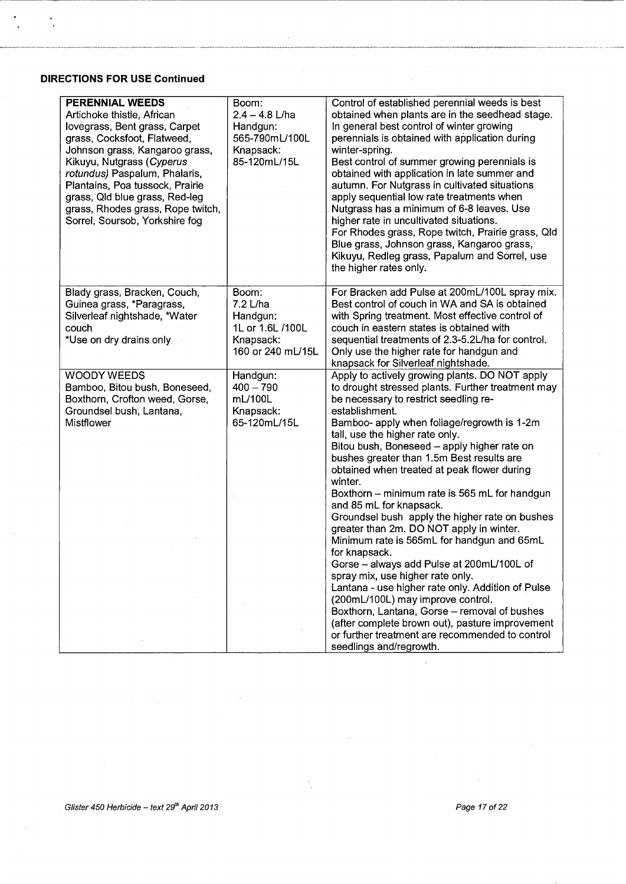## **DIRECTIONS FOR USE Continued**

-- ------------------------------------

 $\ddot{\phantom{0}}$ 

 $\ddot{\cdot}$ 

| <b>PERENNIAL WEEDS</b><br>Artichoke thistle, African<br>lovegrass, Bent grass, Carpet<br>grass, Cocksfoot, Flatweed,<br>Johnson grass, Kangaroo grass,<br>Kikuyu, Nutgrass (Cyperus<br>rotundus) Paspalum, Phalaris,<br>Plantains, Poa tussock, Prairie<br>grass, Qld blue grass, Red-leg<br>grass, Rhodes grass, Rope twitch,<br>Sorrel, Soursob, Yorkshire fog | Boom:<br>$2.4 - 4.8$ L/ha<br>Handgun:<br>565-790mL/100L<br>Knapsack:<br>85-120mL/15L | Control of established perennial weeds is best<br>obtained when plants are in the seedhead stage.<br>In general best control of winter growing<br>perennials is obtained with application during<br>winter-spring.<br>Best control of summer growing perennials is<br>obtained with application in late summer and<br>autumn. For Nutgrass in cultivated situations<br>apply sequential low rate treatments when<br>Nutgrass has a minimum of 6-8 leaves. Use<br>higher rate in uncultivated situations.<br>For Rhodes grass, Rope twitch, Prairie grass, Qld<br>Blue grass, Johnson grass, Kangaroo grass,<br>Kikuyu, Redleg grass, Papalum and Sorrel, use<br>the higher rates only.                                                                                                                                                                                                                                                                                                                      |
|------------------------------------------------------------------------------------------------------------------------------------------------------------------------------------------------------------------------------------------------------------------------------------------------------------------------------------------------------------------|--------------------------------------------------------------------------------------|-------------------------------------------------------------------------------------------------------------------------------------------------------------------------------------------------------------------------------------------------------------------------------------------------------------------------------------------------------------------------------------------------------------------------------------------------------------------------------------------------------------------------------------------------------------------------------------------------------------------------------------------------------------------------------------------------------------------------------------------------------------------------------------------------------------------------------------------------------------------------------------------------------------------------------------------------------------------------------------------------------------|
| Blady grass, Bracken, Couch,<br>Guinea grass, *Paragrass,<br>Silverleaf nightshade, *Water<br>couch<br>*Use on dry drains only                                                                                                                                                                                                                                   | Boom:<br>7.2 L/ha<br>Handgun:<br>1L or 1.6L /100L<br>Knapsack:<br>160 or 240 mL/15L  | For Bracken add Pulse at 200mL/100L spray mix.<br>Best control of couch in WA and SA is obtained<br>with Spring treatment. Most effective control of<br>couch in eastern states is obtained with<br>sequential treatments of 2.3-5.2L/ha for control.<br>Only use the higher rate for handgun and<br>knapsack for Silverleaf nightshade.                                                                                                                                                                                                                                                                                                                                                                                                                                                                                                                                                                                                                                                                    |
| <b>WOODY WEEDS</b><br>Bamboo, Bitou bush, Boneseed,<br>Boxthorn, Crofton weed, Gorse,<br>Groundsel bush, Lantana,<br>Mistflower                                                                                                                                                                                                                                  | Handgun:<br>$400 - 790$<br>mL/100L<br>Knapsack:<br>65-120mL/15L                      | Apply to actively growing plants. DO NOT apply<br>to drought stressed plants. Further treatment may<br>be necessary to restrict seedling re-<br>establishment.<br>Bamboo- apply when foliage/regrowth is 1-2m<br>tall, use the higher rate only.<br>Bitou bush, Boneseed - apply higher rate on<br>bushes greater than 1.5m Best results are<br>obtained when treated at peak flower during<br>winter.<br>Boxthorn – minimum rate is 565 mL for handgun<br>and 85 mL for knapsack.<br>Groundsel bush apply the higher rate on bushes<br>greater than 2m. DO NOT apply in winter.<br>Minimum rate is 565mL for handgun and 65mL<br>for knapsack.<br>Gorse - always add Pulse at 200mL/100L of<br>spray mix, use higher rate only.<br>Lantana - use higher rate only. Addition of Pulse<br>(200mL/100L) may improve control.<br>Boxthorn, Lantana, Gorse - removal of bushes<br>(after complete brown out), pasture improvement<br>or further treatment are recommended to control<br>seedlings and/regrowth. |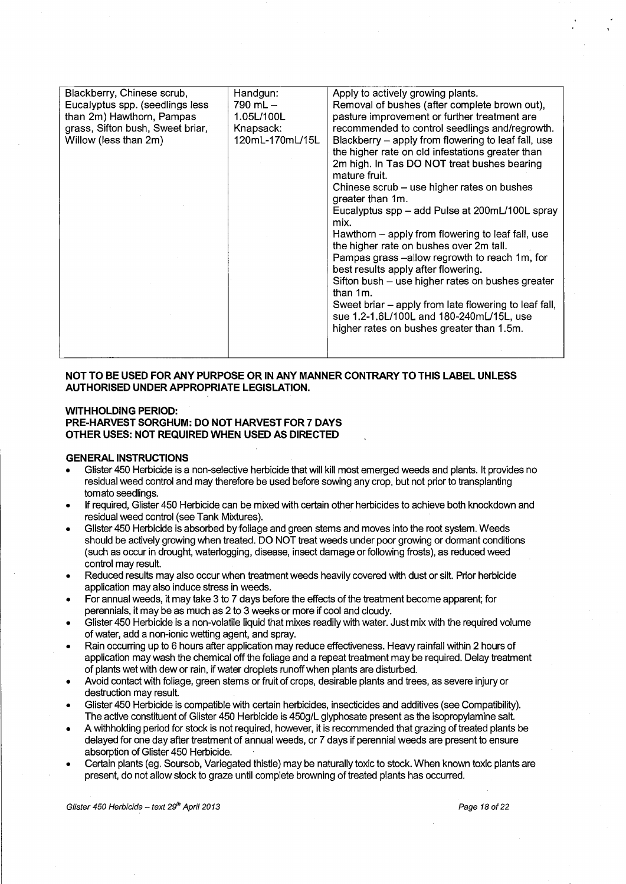| Blackberry, Chinese scrub,<br>Eucalyptus spp. (seedlings less<br>than 2m) Hawthorn, Pampas<br>grass, Sifton bush, Sweet briar,<br>Willow (less than 2m) | Handgun:<br>790 mL $-$<br>1.05L/100L<br>Knapsack:<br>120mL-170mL/15L | Apply to actively growing plants.<br>Removal of bushes (after complete brown out),<br>pasture improvement or further treatment are<br>recommended to control seedlings and/regrowth.<br>Blackberry – apply from flowering to leaf fall, use<br>the higher rate on old infestations greater than<br>2m high. In Tas DO NOT treat bushes bearing<br>mature fruit.<br>Chinese scrub – use higher rates on bushes<br>greater than 1m.<br>Eucalyptus spp – add Pulse at 200mL/100L spray<br>mix.<br>Hawthorn – apply from flowering to leaf fall, use<br>the higher rate on bushes over 2m tall.<br>Pampas grass -- allow regrowth to reach 1m, for<br>best results apply after flowering.<br>Sifton bush – use higher rates on bushes greater<br>than 1m.<br>Sweet briar – apply from late flowering to leaf fall,<br>sue 1.2-1.6L/100L and 180-240mL/15L, use<br>higher rates on bushes greater than 1.5m. |
|---------------------------------------------------------------------------------------------------------------------------------------------------------|----------------------------------------------------------------------|---------------------------------------------------------------------------------------------------------------------------------------------------------------------------------------------------------------------------------------------------------------------------------------------------------------------------------------------------------------------------------------------------------------------------------------------------------------------------------------------------------------------------------------------------------------------------------------------------------------------------------------------------------------------------------------------------------------------------------------------------------------------------------------------------------------------------------------------------------------------------------------------------------|
|---------------------------------------------------------------------------------------------------------------------------------------------------------|----------------------------------------------------------------------|---------------------------------------------------------------------------------------------------------------------------------------------------------------------------------------------------------------------------------------------------------------------------------------------------------------------------------------------------------------------------------------------------------------------------------------------------------------------------------------------------------------------------------------------------------------------------------------------------------------------------------------------------------------------------------------------------------------------------------------------------------------------------------------------------------------------------------------------------------------------------------------------------------|

#### **NOT TO BE USED FOR ANY PURPOSE OR IN ANY MANNER CONTRARY TO THIS LABEL UNLESS AUTHORISED UNDER APPROPRIATE LEGISLATION.**

#### **WITHHOLDING PERIOD: PRE-HARVEST SORGHUM: DO NOT HARVEST FOR 7 DAYS OTHER USES: NOT REQUIRED WHEN USED AS DIRECTED**

#### **GENERAL INSTRUCTIONS**

- Glister 450 Herbicide is a non-selective herbicide that will kill most emerged weeds and plants. It provides no residual weed control and may therefore be used before sowing any crop, but not prior to transplanting tomato seedlings.
- If required, Glister 450 Herbicide can be mixed with certain other herbicides to achieve both knockdown and residual weed control (see Tank Mixtures).
- Glister 450 Herbicide is absorbed by foliage and green stems and moves into the root system. Weeds should be actively growing when treated. DO NOT treat weeds under poor growing or dormant conditions (such as occur in drought, waterlogging, disease, insect damage or following frosts), as reduced weed control may result.
- Reduced results may also occur when treatment weeds heavily covered with dust or silt. Prior herbicide application may also induce stress in weeds.
- For annual weeds, it may take 3 to 7 days before the effects of the treatment become apparent; for perennials, it may be as much as 2 to 3 weeks or more if cool and cloudy.
- Glister 450 Herbicide is a non-volatile liquid that mixes readily with water. Just mix with the required volume of water, add a non-ionic wetting agent, and spray.
- Rain occurring up to 6 hours after application may reduce effectiveness. Heavy rainfall within 2 hours of application may wash the chemical off the foliage and a repeat treatment may be required. Delay treatment of plants wet with dew or rain, if water droplets runoff when plants are disturbed.
- Avoid contact with foliage, green stems or fruit of crops, desirable plants and trees, as severe injury or destruction may result.
- Glister 450 Herbicide is compatible with certain herbicides, insecticides and additives (see Compatibility). The active constituent of Glister 450 Herbicide is 450g/L glyphosate present as the isopropylamine salt.
- A withholding period for stock is not required, however, it is recommended that grazing of treated plants be delayed for one day after treatment of annual weeds, or 7 days if perennial weeds are present to ensure absorption of Glister 450 Herbicide.
- Certain plants (eg. Soursob, Variegated thistle) may be naturally toxic to stock. When known toxic plants are present, do not allow stock to graze until complete browning of treated plants has occurred.

Glister 450 Herbicide - text  $29<sup>th</sup>$  April 2013 **Page 18** of 22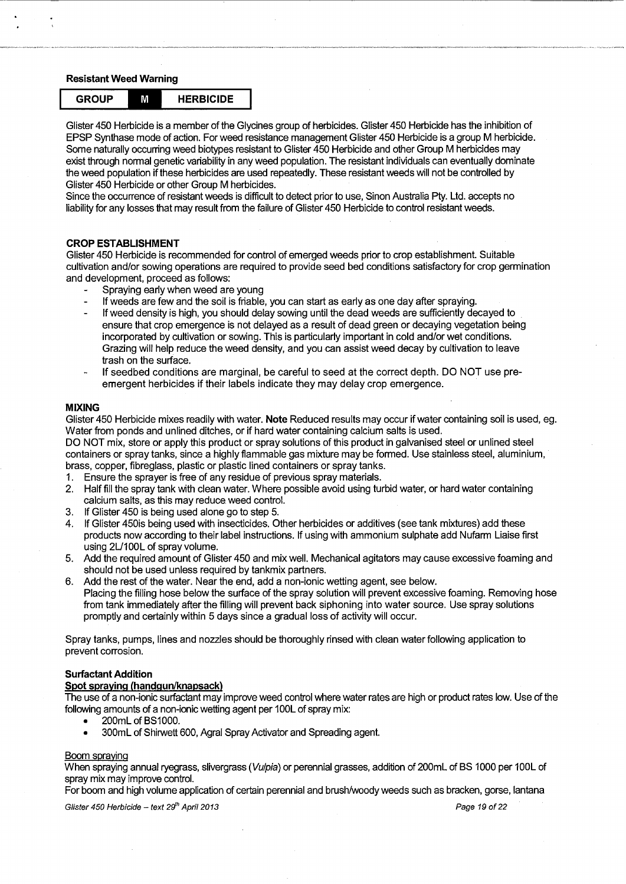#### **Resistant Weed Warning**



Glister 450 Herbicide is a member of the Glycines group of herbicides. Glister 450 Herbicide has the inhibition of EPSP Synthase mode of action. For weed resistance management Glister 450 Herbicide is a group M herbicide. Some naturally occurring weed biotypes resistant to Glister 450 Herbicide and other Group M herbicides may exist through normal genetic variability in any weed population. The resistant individuals can eventually dominate the weed population if these herbicides are used repeatedly. These resistant weeds will not be controlled by Glister 450 Herbicide or other Group M herbicides.

Since the occurrence of resistant weeds is difficult to detect prior to use, Sinon Australia Pty. Ltd. accepts no liability for any losses that may result from the failure of Glister 450 Herbicide to control resistant weeds.

#### **CROP ESTABLISHMENT**

Glister 450 Herbicide is recommended for control of emerged weeds prior to crop establishment. Suitable cultivation and/or sowing operations are required to provide seed bed conditions satisfactory for crop germination and development, proceed as follows:

- Spraying early when weed are young
- If weeds are few and the soil is friable, you can start as early as one day after spraying.
- If weed density is high, you should delay sowing until the dead weeds are sufficiently decayed to ensure that crop emergence is not delayed as a result of dead green or decaying vegetation being incorporated by cultivation or sowing. This is particularly important in cold and/or wet conditions. Grazing will help reduce the weed density, and you can assist weed decay by cultivation to leave trash on the surface.
- If seedbed conditions are marginal, be careful to seed at the correct depth. DO NOT use preemergent herbicides if their labels indicate they may delay crop emergence.

#### **MIXING**

Glister 450 Herbicide mixes readily with water. **Note** Reduced results may occur if water containing soil is used, eg. Water from ponds and unlined ditches, or if hard water containing calcium salts is used.

DO NOT mix, store or apply this product or spray solutions of this product in galvanised steel or unlined steel containers or spray tanks, since a highly flammable gas mixture may be formed. Use stainless steel, aluminium, brass, copper, fibreglass, plastic or plastic lined containers or spray tanks.

- 1. Ensure the sprayer is free of any residue of previous spray materials.
- 2. Half fill the spray tank with clean water. Where possible avoid using turbid water, or hard water containing calcium salts, as this may reduce weed control.
- 3. If Glister 450 is being used alone go to step 5.
- 4. If Glister 450is being used with insecticides. Other herbicides or additives (see tank mixtures) add these products now according to their label instructions. If using with ammonium sulphate add Nufarm Liaise first using 2L/100L of spray volume.
- 5. Add the required amount of Glister 450 and mix well. Mechanical agitators may cause excessive foaming and should not be used unless required by tankmix partners.
- 6. Add the rest of the water. Near the end, add a non-ionic wetting agent, see below. Placing the filling hose below the surface of the spray solution will prevent excessive foaming. Removing hose from tank immediately after the filling will prevent back siphoning into water source. Use spray solutions promptly and certainly within 5 days since a gradual loss of activity will occur.

Spray tanks, pumps, lines and nozzles should be thoroughly rinsed with clean water following application to prevent corrosion.

#### **Surfaetant Addition**

#### **Spot spraying (handgun/knapsack)**

The use of a non-ionic surfactant may improve weed control where water rates are high or product rates low. Use of the following amounts of a non-ionic wetting agent per 100L of spray mix:

- 200mL of BS1000.
- 300mL of Shirwett 600, Agral Spray Activator and Spreading agent.

#### Boom spraying

When spraying annual ryegrass, slivergrass (Vulpia) or perennial grasses, addition of 200mL of BS 1000 per 100L of spray mix may improve control.

For boom and high volume application of certain perennial and brush/woody weeds such as bracken, gorse, lantana

Glister 450 Herbicide -- text 29<sup>th</sup> April 2013 **Page 19** of 22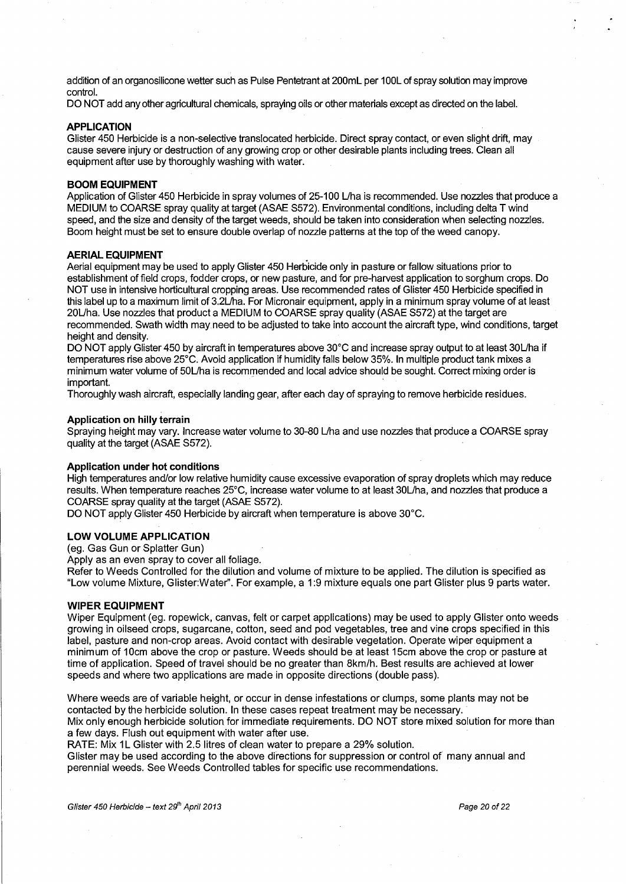addition of an organosilicone wetter such as Pulse Pentetrant at 200mL per 100L of spray solution may improve control.

DO NOT add any other agricultural chemicals, spraying oils or other materials except as directed on the label.

#### **APPLICATION**

Glister 450 Herbicide is a non-selective translocated herbicide. Direct spray contact, or even slight drift, may cause severe injury or destruction of any growing crop or other desirable plants including trees. Clean all equipment after use by thoroughly washing with water.

#### **BOOM EQUIPMENT**

Application of Glister 450 Herbicide in spray volumes of 25-100 Uha is recommended. Use nozzles that produce a MEDIUM to COARSE spray quality at target (ASAE S572). Environmental conditions, including delta T wind speed, and the size and density of the target weeds, should be taken into consideration when selecting nozzles. Boom height must be set to ensure double overlap of nozzle patterns at the top of the weed canopy.

#### **AERIAL EQUIPMENT**

Aerial equipment may be used to apply Glister 450 Herbicide only in pasture or fallow situations prior to establishment of field crops, fodder crops, or new pasture, and for pre-harvest application to sorghum crops. Do NOT use in intensive horticultural cropping areas. Use recommended rates of Glister 450 Herbicide specified in this label up to a maximum limit of 3.2Uha. For Micronair equipment, apply in a minimum spray volume of at least 20L/ha. Use nozzles that product a MEDIUM to COARSE spray quality (ASAE S572) at the target are recommended. Swath width may need to be adjusted to take into account the aircraft type, wind conditions, target height and density.

DO NOT apply Glister 450 by aircraft in temperatures above 30°C and increase spray output to at least 30L/ha if temperatures rise above 25°C. Avoid application if humidity falls below 35%. In multiple product tank mixes a minimum water volume of 50L/ha is recommended and local advice should be sought. Correct mixing order is important.

Thoroughly wash aircraft, especially landing gear, after each day of spraying to remove herbicide residues.

#### **Application on hilly terrain**

Spraying height may vary. Increase water volume to 30-80 Uha and use nozzles that produce a COARSE spray quality at the target (ASAE S572).

#### **Application under hot conditions**

High temperatures and/or low relative humidity cause excessive evaporation of spray droplets which may reduce results. When temperature reaches 25°C, increase water volume to at least 30L/ha, and nozzles that produce a COARSE spray quality at the target (ASAE S572).

DO NOT apply Glister 450 Herbicide by aircraft when temperature is above 30°C.

#### **LOW VOLUME APPLICATION**

(eg. Gas Gun or Splatter Gun)

Apply as an even spray to cover all foliage.

Refer to Weeds Controlled for the dilution and volume of mixture to be applied. The dilution is specified as "Low volume Mixture, Glister:Water''. For example, a 1:9 mixture equals one part Glister plus 9 parts water.

#### **WIPER EQUIPMENT**

Wiper Equipment (eg. ropewick, canvas, felt or carpet applications) may be used to apply Glister onto weeds growing in oilseed crops, sugarcane, cotton, seed and pod vegetables, tree and vine crops specified in this label, pasture and non-crop areas. Avoid contact with desirable vegetation. Operate wiper equipment a minimum of 1 Ocm above the crop or pasture. Weeds should be at least 15cm above the crop or pasture at time of application. Speed of travel should be no greater than 8km/h. Best results are achieved at lower speeds and where two applications are made in opposite directions (double pass).

Where weeds are of variable height, or occur in dense infestations or clumps, some plants may not be contacted by the herbicide solution. In these cases repeat treatment may be necessary. Mix only enough herbicide solution for immediate requirements. DO NOT store mixed solution for more than

a few days. Flush out equipment with water after use. RATE: Mix 1L Glister with 2.5 litres of clean water to prepare a 29% solution.

Glister may be used according to the above directions for suppression or control of many annual and perennial weeds. See Weeds Controlled tables for specific use recommendations.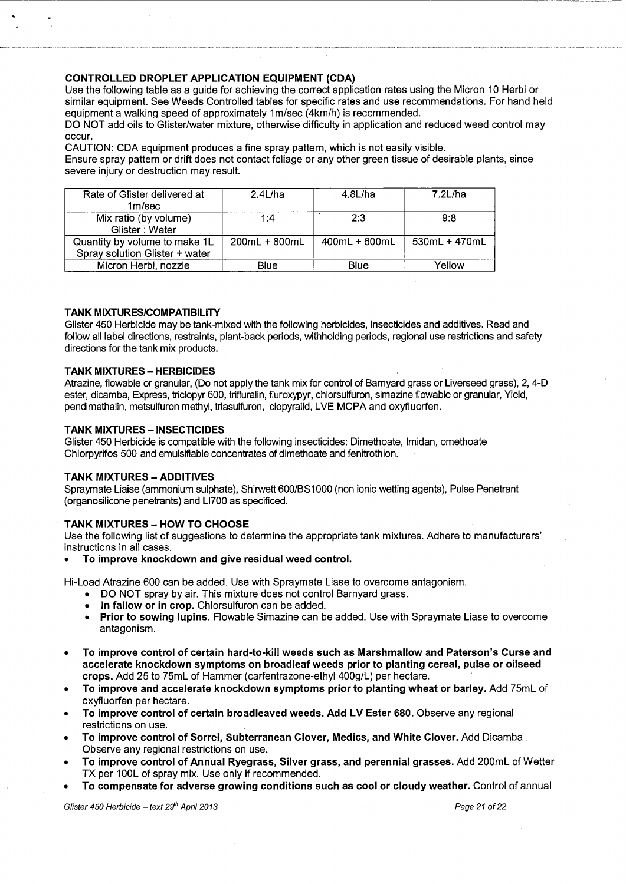### **CONTROLLED DROPLET APPLICATION EQUIPMENT (CDA)**

Use the following table as a guide for achieving the correct application rates using the Micron 10 Herbi or similar equipment. See Weeds Controlled tables for specific rates and use recommendations. For hand held equipment a walking speed of approximately 1m/sec (4km/h) is recommended.

------------------------------------------~-~-M~~,--\_, \_\_ •-••-•-----·-

DO NOT add oils to Glister/water mixture, otherwise difficulty in application and reduced weed control may occur.

CAUTION: CDA equipment produces a fine spray pattern, which is not easily visible. Ensure spray pattern or drift does not contact foliage or any other green tissue of desirable plants, since severe injury or destruction may result.

| Rate of Glister delivered at<br>1m/sec                          | $2.4$ L/ha      | $4.8$ L/ha    | $7.2$ L/ha    |
|-----------------------------------------------------------------|-----------------|---------------|---------------|
| Mix ratio (by volume)<br>Glister: Water                         | 1:4             | 2.3           | 9:8           |
| Quantity by volume to make 1L<br>Spray solution Glister + water | $200mL + 800mL$ | 400mL + 600mL | 530mL + 470mL |
| Micron Herbi, nozzle                                            | Blue            | Blue          | Yellow        |

#### **TANK MIXTURES/COMPATIBILITY**

Glister 450 Herbicide may be tank-mixed with the following herbicides, insecticides and additives. Read and follow all label directions, restraints, plant-back periods, withholding periods, regional use restrictions and safety directions for the tank mix products.

#### **TANK MIXTURES- HERBICIDES**

Atrazine, flowable or granular, (Do not apply the tank mix for control of Barnyard grass or Liverseed grass), 2, 4-D ester, dicamba, Express, triclopyr 600, trifluralin, fluroxypyr, chlorsulfuron, simazine flowable or granular, Yield, pendimethalin, metsulfuron methyl, triasulfuron, clopyralid, LVE MCPA and oxyfluorfen.

#### **TANK MIXTURES - INSECTICIDES**

Glister 450 Herbicide is compatible with the following insecticides: Dimethoate, lmidan, omethoate Chlorpyrifos 500 and emulsifiable concentrates of dimethoate and fenitrothion.

#### **TANK MIXTURES- ADDITIVES**

Spraymate Liaise (ammonium sulphate), Shirwett 600/BS1000 (non ionic wetting agents), Pulse Penetrant (organosilicone penetrants) and Ll700 as specificed.

#### **TANK MIXTURES- HOW TO CHOOSE**

Use the following list of suggestions to determine the appropriate tank mixtures. Adhere to manufacturers' instructions in all cases.

• **To improve knockdown and give residual weed control.** 

Hi-Load Atrazine 600 can be added. Use with Spraymate Liase to overcome antagonism.

- DO NOT spray by air. This mixture does not control Barnyard grass.
- **In fallow or in crop.** Chlorsulfuron can be added.
- **Prior to sowing lupins.** Flowable Simazine can be added. Use with Spraymate Liase to overcome antagonism.
- **To improve control of certain hard-to-kill weeds such as Marshmallow and Paterson's Curse and**  accelerate knockdown symptoms on broadleaf weeds prior to planting cereal, pulse or oilseed **crops.** Add 25 to 75mL of Hammer (carfentrazone-ethyl 400g/L) per hectare.
- **To improve and accelerate knockdown symptoms prior to planting wheat or barley.** Add 75mL of oxyfluorfen per hectare.
- **To improve control of certain broadleaved weeds. Add LV Ester 680.** Observe any regional restrictions on use.
- **To improve control of Sorrel, Subterranean Clover, Medics, and White Clover.** Add Dicamba . Observe any regional restrictions on use.
- **To improve control of Annual Ryegrass, Silver grass, and perennial grasses.** Add 200mL of Wetter TX per 100L of spray mix. Use only if recommended.
- **To compensate for adverse growing conditions such as cool or cloudy weather.** Control of annual

Glister 450 Herbicide - text  $29<sup>th</sup>$  April 2013 **Page 21** of 22